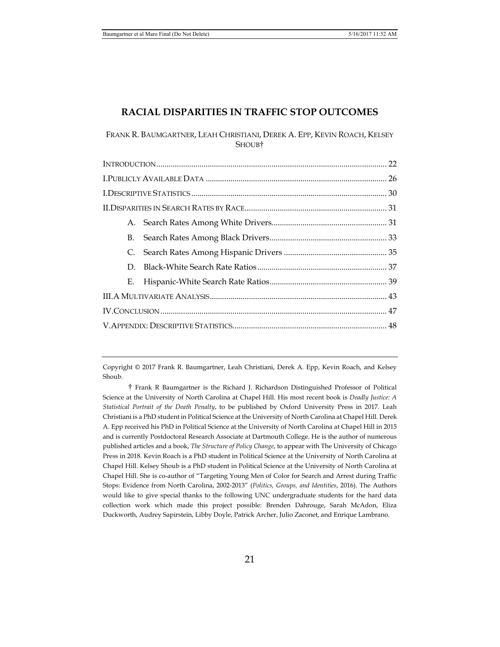# **RACIAL DISPARITIES IN TRAFFIC STOP OUTCOMES**

FRANK R. BAUMGARTNER, LEAH CHRISTIANI, DEREK A. EPP, KEVIN ROACH, KELSEY SHOUB†

| В. |  |
|----|--|
| C. |  |
| D. |  |
| Е. |  |
|    |  |
|    |  |
|    |  |

Copyright © 2017 Frank R. Baumgartner, Leah Christiani, Derek A. Epp, Kevin Roach, and Kelsey Shoub.

† Frank R Baumgartner is the Richard J. Richardson Distinguished Professor of Political Science at the University of North Carolina at Chapel Hill. His most recent book is *Deadly Justice: A Statistical Portrait of the Death Penalty*, to be published by Oxford University Press in 2017. Leah Christiani is a PhD student in Political Science at the University of North Carolina at Chapel Hill. Derek A. Epp received his PhD in Political Science at the University of North Carolina at Chapel Hill in 2015 and is currently Postdoctoral Research Associate at Dartmouth College. He is the author of numerous published articles and a book, *The Structure of Policy Change*, to appear with The University of Chicago Press in 2018. Kevin Roach is a PhD student in Political Science at the University of North Carolina at Chapel Hill. Kelsey Shoub is a PhD student in Political Science at the University of North Carolina at Chapel Hill. She is co-author of "Targeting Young Men of Color for Search and Arrest during Traffic Stops: Evidence from North Carolina, 2002-2013" (*Politics, Groups, and Identities*, 2016). The Authors would like to give special thanks to the following UNC undergraduate students for the hard data collection work which made this project possible: Brenden Dahrouge, Sarah McAdon, Eliza Duckworth, Audrey Sapirstein, Libby Doyle, Patrick Archer, Julio Zaconet, and Enrique Lambrano.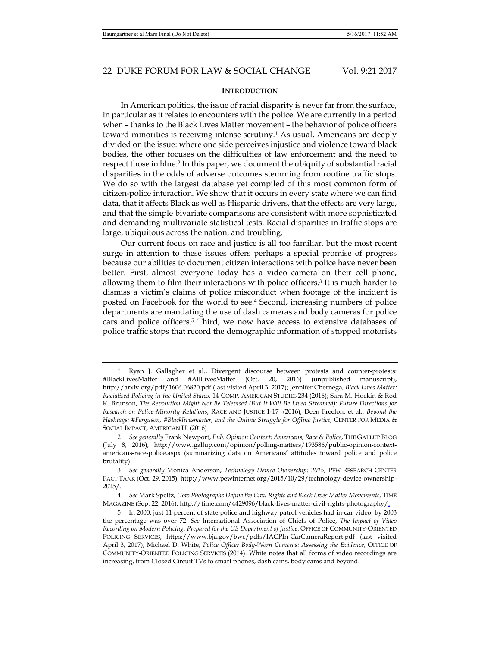#### **INTRODUCTION**

In American politics, the issue of racial disparity is never far from the surface, in particular as it relates to encounters with the police. We are currently in a period when – thanks to the Black Lives Matter movement – the behavior of police officers toward minorities is receiving intense scrutiny.1 As usual, Americans are deeply divided on the issue: where one side perceives injustice and violence toward black bodies, the other focuses on the difficulties of law enforcement and the need to respect those in blue.2 In this paper, we document the ubiquity of substantial racial disparities in the odds of adverse outcomes stemming from routine traffic stops. We do so with the largest database yet compiled of this most common form of citizen-police interaction. We show that it occurs in every state where we can find data, that it affects Black as well as Hispanic drivers, that the effects are very large, and that the simple bivariate comparisons are consistent with more sophisticated and demanding multivariate statistical tests. Racial disparities in traffic stops are large, ubiquitous across the nation, and troubling.

Our current focus on race and justice is all too familiar, but the most recent surge in attention to these issues offers perhaps a special promise of progress because our abilities to document citizen interactions with police have never been better. First, almost everyone today has a video camera on their cell phone, allowing them to film their interactions with police officers.3 It is much harder to dismiss a victim's claims of police misconduct when footage of the incident is posted on Facebook for the world to see.4 Second, increasing numbers of police departments are mandating the use of dash cameras and body cameras for police cars and police officers.5 Third, we now have access to extensive databases of police traffic stops that record the demographic information of stopped motorists

 <sup>1</sup> Ryan J. Gallagher et al., Divergent discourse between protests and counter-protests: #BlackLivesMatter and #AllLivesMatter (Oct. 20, 2016) (unpublished manuscript), http://arxiv.org/pdf/1606.06820.pdf (last visited April 3, 2017); Jennifer Chernega, *Black Lives Matter: Racialised Policing in the United States*, 14 COMP. AMERICAN STUDIES 234 (2016); Sara M. Hockin & Rod K. Brunson, *The Revolution Might Not Be Televised (But It Will Be Lived Streamed): Future Directions for Research on Police-Minority Relations*, RACE AND JUSTICE 1-17 (2016); Deen Freelon, et al., *Beyond the Hashtags: #Ferguson, #Blacklivesmatter, and the Online Struggle for Offline Justice*, CENTER FOR MEDIA & SOCIAL IMPACT, AMERICAN U. (2016)

 <sup>2</sup> *See generally* Frank Newport, *Pub. Opinion Context: Americans, Race & Police*, THE GALLUP BLOG (July 8, 2016), http://www.gallup.com/opinion/polling-matters/193586/public-opinion-contextamericans-race-police.aspx (summarizing data on Americans' attitudes toward police and police brutality).

 <sup>3</sup> *See generally* Monica Anderson, *Technology Device Ownership: 2015,* PEW RESEARCH CENTER FACT TANK (Oct. 29, 2015), http://www.pewinternet.org/2015/10/29/technology-device-ownership- $2015/$ .

 <sup>4</sup> *See* Mark Speltz, *How Photographs Define the Civil Rights and Black Lives Matter Movements,* TIME MAGAZINE (Sep. 22, 2016), http://time.com/4429096/black-lives-matter-civil-rights-photography/

 <sup>5</sup> In 2000, just 11 percent of state police and highway patrol vehicles had in-car video; by 2003 the percentage was over 72. *See* International Association of Chiefs of Police, *The Impact of Video Recording on Modern Policing. Prepared for the US Department of Justice*, OFFICE OF COMMUNITY-ORIENTED POLICING SERVICES, https://www.bja.gov/bwc/pdfs/IACPIn-CarCameraReport.pdf (last visited April 3, 2017); Michael D. White, *Police Officer Body-Worn Cameras: Assessing the Evidence*, OFFICE OF COMMUNITY-ORIENTED POLICING SERVICES (2014). White notes that all forms of video recordings are increasing, from Closed Circuit TVs to smart phones, dash cams, body cams and beyond.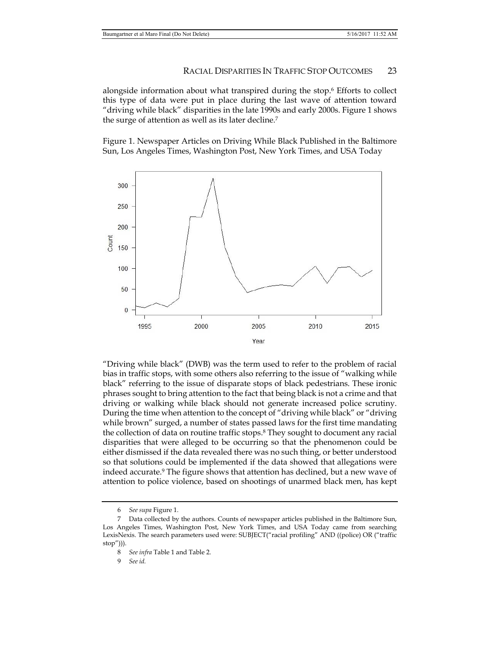alongside information about what transpired during the stop.6 Efforts to collect this type of data were put in place during the last wave of attention toward "driving while black" disparities in the late 1990s and early 2000s. Figure 1 shows the surge of attention as well as its later decline.7

Figure 1. Newspaper Articles on Driving While Black Published in the Baltimore Sun, Los Angeles Times, Washington Post, New York Times, and USA Today



"Driving while black" (DWB) was the term used to refer to the problem of racial bias in traffic stops, with some others also referring to the issue of "walking while black" referring to the issue of disparate stops of black pedestrians. These ironic phrases sought to bring attention to the fact that being black is not a crime and that driving or walking while black should not generate increased police scrutiny. During the time when attention to the concept of "driving while black" or "driving while brown" surged, a number of states passed laws for the first time mandating the collection of data on routine traffic stops.8 They sought to document any racial disparities that were alleged to be occurring so that the phenomenon could be either dismissed if the data revealed there was no such thing, or better understood so that solutions could be implemented if the data showed that allegations were indeed accurate.9 The figure shows that attention has declined, but a new wave of attention to police violence, based on shootings of unarmed black men, has kept

 <sup>6</sup> *See supa* Figure 1.

 <sup>7</sup> Data collected by the authors. Counts of newspaper articles published in the Baltimore Sun, Los Angeles Times, Washington Post, New York Times, and USA Today came from searching LexisNexis. The search parameters used were: SUBJECT("racial profiling" AND ((police) OR ("traffic stop"))).

 <sup>8</sup> *See infra* Table 1 and Table 2.

 <sup>9</sup> *See id.*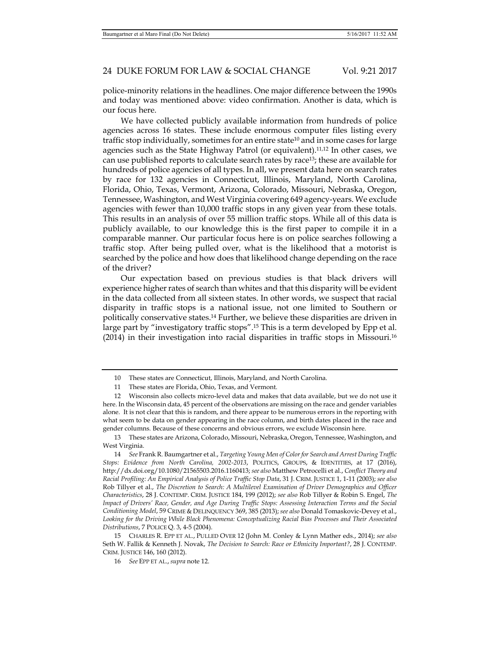police-minority relations in the headlines. One major difference between the 1990s and today was mentioned above: video confirmation. Another is data, which is our focus here.

We have collected publicly available information from hundreds of police agencies across 16 states. These include enormous computer files listing every traffic stop individually, sometimes for an entire state<sup>10</sup> and in some cases for large agencies such as the State Highway Patrol (or equivalent).11,12 In other cases, we can use published reports to calculate search rates by race13; these are available for hundreds of police agencies of all types. In all, we present data here on search rates by race for 132 agencies in Connecticut, Illinois, Maryland, North Carolina, Florida, Ohio, Texas, Vermont, Arizona, Colorado, Missouri, Nebraska, Oregon, Tennessee, Washington, and West Virginia covering 649 agency-years. We exclude agencies with fewer than 10,000 traffic stops in any given year from these totals. This results in an analysis of over 55 million traffic stops. While all of this data is publicly available, to our knowledge this is the first paper to compile it in a comparable manner. Our particular focus here is on police searches following a traffic stop. After being pulled over, what is the likelihood that a motorist is searched by the police and how does that likelihood change depending on the race of the driver?

Our expectation based on previous studies is that black drivers will experience higher rates of search than whites and that this disparity will be evident in the data collected from all sixteen states. In other words, we suspect that racial disparity in traffic stops is a national issue, not one limited to Southern or politically conservative states.14 Further, we believe these disparities are driven in large part by "investigatory traffic stops".15 This is a term developed by Epp et al. (2014) in their investigation into racial disparities in traffic stops in Missouri.16

 <sup>10</sup> These states are Connecticut, Illinois, Maryland, and North Carolina.

 <sup>11</sup> These states are Florida, Ohio, Texas, and Vermont.

 <sup>12</sup> Wisconsin also collects micro-level data and makes that data available, but we do not use it here. In the Wisconsin data, 45 percent of the observations are missing on the race and gender variables alone. It is not clear that this is random, and there appear to be numerous errors in the reporting with what seem to be data on gender appearing in the race column, and birth dates placed in the race and gender columns. Because of these concerns and obvious errors, we exclude Wisconsin here.

 <sup>13</sup> These states are Arizona, Colorado, Missouri, Nebraska, Oregon, Tennessee, Washington, and West Virginia.

 <sup>14</sup> *See* Frank R. Baumgartner et al., *Targeting Young Men of Color for Search and Arrest During Traffic Stops: Evidence from North Carolina, 2002-2013*, POLITICS, GROUPS, & IDENTITIES, at 17 (2016), http://dx.doi.org/10.1080/21565503.2016.1160413; *see also* Matthew Petrocelli et al., *Conflict Theory and Racial Profiling: An Empirical Analysis of Police Traffic Stop Data*, 31 J. CRIM. JUSTICE 1, 1-11 (2003); *see also*  Rob Tillyer et al., *The Discretion to Search: A Multilevel Examination of Driver Demographics and Officer Characteristics*, 28 J. CONTEMP. CRIM. JUSTICE 184, 199 (2012); *see also* Rob Tillyer & Robin S. Engel, *The Impact of Drivers' Race, Gender, and Age During Traffic Stops: Assessing Interaction Terms and the Social Conditioning Model*, 59 CRIME & DELINQUENCY 369, 385 (2013); *see also* Donald Tomaskovic-Devey et al., *Looking for the Driving While Black Phenomena: Conceptualizing Racial Bias Processes and Their Associated Distributions*, 7 POLICE Q. 3, 4-5 (2004).

 <sup>15</sup> CHARLES R. EPP ET AL., PULLED OVER 12 (John M. Conley & Lynn Mather eds., 2014); *see also* Seth W. Fallik & Kenneth J. Novak, *The Decision to Search: Race or Ethnicity Important?*, 28 J. CONTEMP. CRIM. JUSTICE 146, 160 (2012).

 <sup>16</sup> *See* EPP ET AL., *supra* note 12.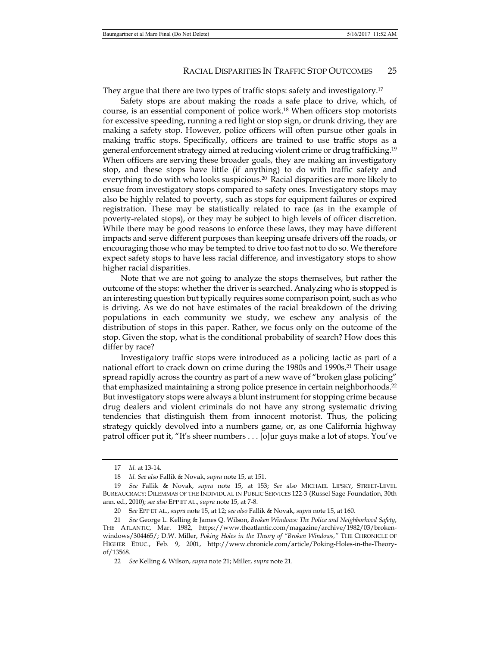They argue that there are two types of traffic stops: safety and investigatory.17

Safety stops are about making the roads a safe place to drive, which, of course, is an essential component of police work.18 When officers stop motorists for excessive speeding, running a red light or stop sign, or drunk driving, they are making a safety stop. However, police officers will often pursue other goals in making traffic stops. Specifically, officers are trained to use traffic stops as a general enforcement strategy aimed at reducing violent crime or drug trafficking.19 When officers are serving these broader goals, they are making an investigatory stop, and these stops have little (if anything) to do with traffic safety and everything to do with who looks suspicious.<sup>20</sup> Racial disparities are more likely to ensue from investigatory stops compared to safety ones. Investigatory stops may also be highly related to poverty, such as stops for equipment failures or expired registration. These may be statistically related to race (as in the example of poverty-related stops), or they may be subject to high levels of officer discretion. While there may be good reasons to enforce these laws, they may have different impacts and serve different purposes than keeping unsafe drivers off the roads, or encouraging those who may be tempted to drive too fast not to do so. We therefore expect safety stops to have less racial difference, and investigatory stops to show higher racial disparities.

Note that we are not going to analyze the stops themselves, but rather the outcome of the stops: whether the driver is searched. Analyzing who is stopped is an interesting question but typically requires some comparison point, such as who is driving. As we do not have estimates of the racial breakdown of the driving populations in each community we study, we eschew any analysis of the distribution of stops in this paper. Rather, we focus only on the outcome of the stop. Given the stop, what is the conditional probability of search? How does this differ by race?

Investigatory traffic stops were introduced as a policing tactic as part of a national effort to crack down on crime during the 1980s and 1990s.<sup>21</sup> Their usage spread rapidly across the country as part of a new wave of "broken glass policing" that emphasized maintaining a strong police presence in certain neighborhoods.22 But investigatory stops were always a blunt instrument for stopping crime because drug dealers and violent criminals do not have any strong systematic driving tendencies that distinguish them from innocent motorist. Thus, the policing strategy quickly devolved into a numbers game, or, as one California highway patrol officer put it, "It's sheer numbers . . . [o]ur guys make a lot of stops. You've

 <sup>17</sup> *Id.* at 13-14.

 <sup>18</sup> *Id. See also* Fallik & Novak, *supra* note 15, at 151.

 <sup>19</sup> *See* Fallik & Novak, *supra* note 15, at 153; *See also* MICHAEL LIPSKY, STREET-LEVEL BUREAUCRACY: DILEMMAS OF THE INDIVIDUAL IN PUBLIC SERVICES 122-3 (Russel Sage Foundation, 30th ann. ed., 2010); *see also* EPP ET AL., *supra* note 15, at 7-8.

 <sup>20</sup> S*ee* EPP ET AL., *supra* note 15, at 12; *see also* Fallik & Novak, *supra* note 15, at 160.

 <sup>21</sup> *See* George L. Kelling & James Q. Wilson, *Broken Windows: The Police and Neighborhood Safety*, THE ATLANTIC, Mar. 1982, https://www.theatlantic.com/magazine/archive/1982/03/brokenwindows/304465/; D.W. Miller, *Poking Holes in the Theory of "Broken Windows,"* THE CHRONICLE OF HIGHER EDUC., Feb. 9, 2001, http://www.chronicle.com/article/Poking-Holes-in-the-Theoryof/13568.

 <sup>22</sup> *See* Kelling & Wilson, *supra* note 21; Miller, *supra* note 21.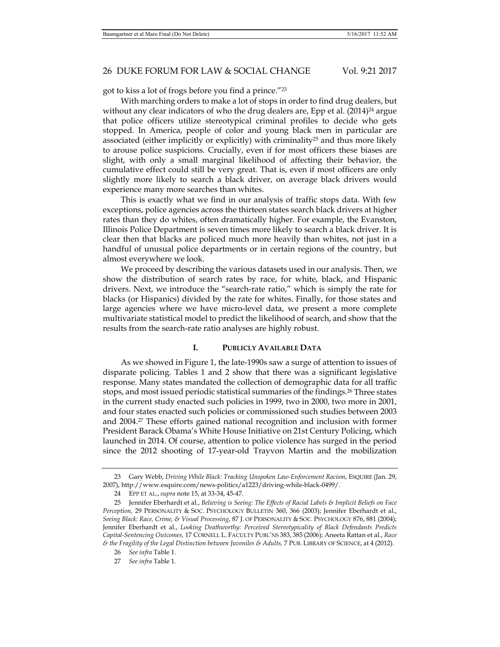got to kiss a lot of frogs before you find a prince."23

With marching orders to make a lot of stops in order to find drug dealers, but without any clear indicators of who the drug dealers are, Epp et al.  $(2014)^{24}$  argue that police officers utilize stereotypical criminal profiles to decide who gets stopped. In America, people of color and young black men in particular are associated (either implicitly or explicitly) with criminality<sup>25</sup> and thus more likely to arouse police suspicions. Crucially, even if for most officers these biases are slight, with only a small marginal likelihood of affecting their behavior, the cumulative effect could still be very great. That is, even if most officers are only slightly more likely to search a black driver, on average black drivers would experience many more searches than whites.

This is exactly what we find in our analysis of traffic stops data. With few exceptions, police agencies across the thirteen states search black drivers at higher rates than they do whites, often dramatically higher. For example, the Evanston, Illinois Police Department is seven times more likely to search a black driver. It is clear then that blacks are policed much more heavily than whites, not just in a handful of unusual police departments or in certain regions of the country, but almost everywhere we look.

We proceed by describing the various datasets used in our analysis. Then, we show the distribution of search rates by race, for white, black, and Hispanic drivers. Next, we introduce the "search-rate ratio," which is simply the rate for blacks (or Hispanics) divided by the rate for whites. Finally, for those states and large agencies where we have micro-level data, we present a more complete multivariate statistical model to predict the likelihood of search, and show that the results from the search-rate ratio analyses are highly robust.

### **I. PUBLICLY AVAILABLE DATA**

As we showed in Figure 1, the late-1990s saw a surge of attention to issues of disparate policing. Tables 1 and 2 show that there was a significant legislative response. Many states mandated the collection of demographic data for all traffic stops, and most issued periodic statistical summaries of the findings.26 Three states in the current study enacted such policies in 1999, two in 2000, two more in 2001, and four states enacted such policies or commissioned such studies between 2003 and 2004.27 These efforts gained national recognition and inclusion with former President Barack Obama's White House Initiative on 21st Century Policing, which launched in 2014. Of course, attention to police violence has surged in the period since the 2012 shooting of 17-year-old Trayvon Martin and the mobilization

 <sup>23</sup> Gary Webb, *Driving While Black: Tracking Unspoken Law-Enforcement Racism*, ESQUIRE (Jan. 29, 2007), http://www.esquire.com/news-politics/a1223/driving-while-black-0499/.

 <sup>24</sup> EPP ET AL., *supra* note 15, at 33-34, 45-47.

 <sup>25</sup> Jennifer Eberhardt et al., *Believing is Seeing: The Effects of Racial Labels & Implicit Beliefs on Face Perception,* 29 PERSONALITY & SOC. PSYCHOLOGY BULLETIN 360, 366 (2003); Jennifer Eberhardt et al., *Seeing Black: Race, Crime, & Visual Processing*, 87 J. OF PERSONALITY & SOC. PSYCHOLOGY 876, 881 (2004); Jennifer Eberhardt et al., *Looking Deathworthy: Perceived Stereotypicality of Black Defendants Predicts Capital-Sentencing Outcomes,* 17 CORNELL L. FACULTY PUBL'NS 383, 385 (2006); Aneeta Rattan et al., *Race & the Fragility of the Legal Distinction between Juveniles & Adults,* 7 PUB. LIBRARY OF SCIENCE, at 4 (2012).

 <sup>26</sup> *See infra* Table 1.

 <sup>27</sup> *See infra* Table 1.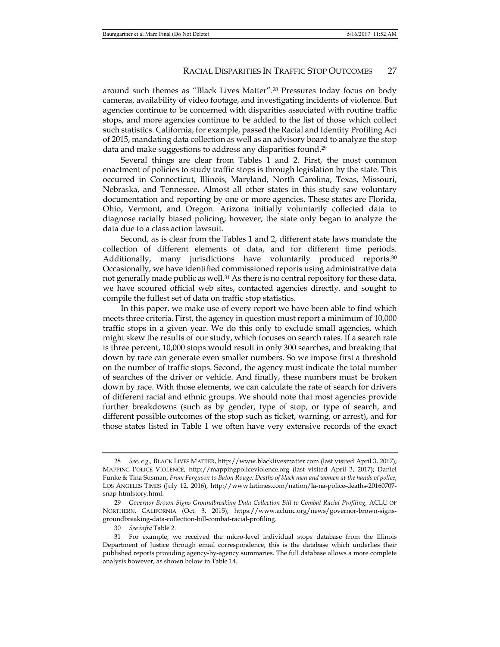around such themes as "Black Lives Matter".28 Pressures today focus on body cameras, availability of video footage, and investigating incidents of violence. But agencies continue to be concerned with disparities associated with routine traffic stops, and more agencies continue to be added to the list of those which collect such statistics. California, for example, passed the Racial and Identity Profiling Act of 2015, mandating data collection as well as an advisory board to analyze the stop data and make suggestions to address any disparities found.29

Several things are clear from Tables 1 and 2. First, the most common enactment of policies to study traffic stops is through legislation by the state. This occurred in Connecticut, Illinois, Maryland, North Carolina, Texas, Missouri, Nebraska, and Tennessee. Almost all other states in this study saw voluntary documentation and reporting by one or more agencies. These states are Florida, Ohio, Vermont, and Oregon. Arizona initially voluntarily collected data to diagnose racially biased policing; however, the state only began to analyze the data due to a class action lawsuit.

Second, as is clear from the Tables 1 and 2, different state laws mandate the collection of different elements of data, and for different time periods. Additionally, many jurisdictions have voluntarily produced reports.<sup>30</sup> Occasionally, we have identified commissioned reports using administrative data not generally made public as well.<sup>31</sup> As there is no central repository for these data, we have scoured official web sites, contacted agencies directly, and sought to compile the fullest set of data on traffic stop statistics.

In this paper, we make use of every report we have been able to find which meets three criteria. First, the agency in question must report a minimum of 10,000 traffic stops in a given year. We do this only to exclude small agencies, which might skew the results of our study, which focuses on search rates. If a search rate is three percent, 10,000 stops would result in only 300 searches, and breaking that down by race can generate even smaller numbers. So we impose first a threshold on the number of traffic stops. Second, the agency must indicate the total number of searches of the driver or vehicle. And finally, these numbers must be broken down by race. With those elements, we can calculate the rate of search for drivers of different racial and ethnic groups. We should note that most agencies provide further breakdowns (such as by gender, type of stop, or type of search, and different possible outcomes of the stop such as ticket, warning, or arrest), and for those states listed in Table 1 we often have very extensive records of the exact

30 *See infra* Table 2.

 <sup>28</sup> *See, e.g.,* BLACK LIVES MATTER, http://www.blacklivesmatter.com (last visited April 3, 2017); MAPPING POLICE VIOLENCE, http://mappingpoliceviolence.org (last visited April 3, 2017); Daniel Funke & Tina Susman, *From Ferguson to Baton Rouge: Deaths of black men and women at the hands of police*, LOS ANGELES TIMES (July 12, 2016), http://www.latimes.com/nation/la-na-police-deaths-20160707 snap-htmlstory.html.

 <sup>29</sup> *Governor Brown Signs Groundbreaking Data Collection Bill to Combat Racial Profiling*, ACLU OF NORTHERN, CALIFORNIA (Oct. 3, 2015), https://www.aclunc.org/news/governor-brown-signsgroundbreaking-data-collection-bill-combat-racial-profiling.

 <sup>31</sup> For example, we received the micro-level individual stops database from the Illinois Department of Justice through email correspondence; this is the database which underlies their published reports providing agency-by-agency summaries. The full database allows a more complete analysis however, as shown below in Table 14.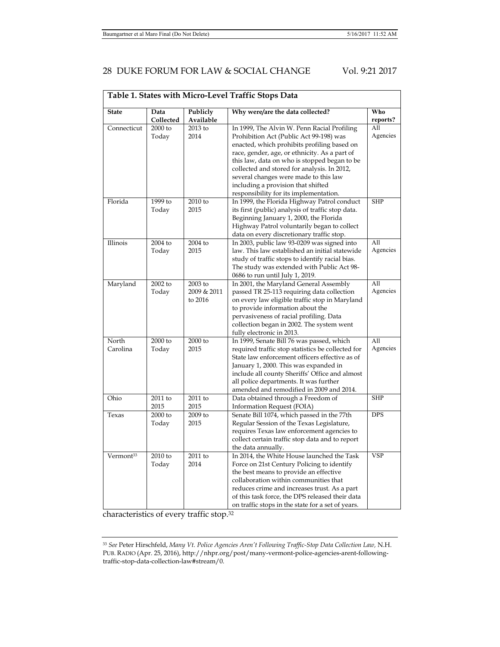|                       | Table 1. States with Micro-Level Traffic Stops Data |                                   |                                                                                                                                                                                                                                                                                                                                                                                                                |                              |  |  |  |
|-----------------------|-----------------------------------------------------|-----------------------------------|----------------------------------------------------------------------------------------------------------------------------------------------------------------------------------------------------------------------------------------------------------------------------------------------------------------------------------------------------------------------------------------------------------------|------------------------------|--|--|--|
| <b>State</b>          | Data<br>Collected                                   | Publicly<br>Available             | Why were/are the data collected?                                                                                                                                                                                                                                                                                                                                                                               | Who<br>reports?              |  |  |  |
| Connecticut           | 2000 to<br>Today                                    | 2013 to<br>2014                   | In 1999, The Alvin W. Penn Racial Profiling<br>Prohibition Act (Public Act 99-198) was<br>enacted, which prohibits profiling based on<br>race, gender, age, or ethnicity. As a part of<br>this law, data on who is stopped began to be<br>collected and stored for analysis. In 2012,<br>several changes were made to this law<br>including a provision that shifted<br>responsibility for its implementation. | All<br>Agencies              |  |  |  |
| Florida               | 1999 to<br>Today                                    | 2010 to<br>2015                   | In 1999, the Florida Highway Patrol conduct<br>its first (public) analysis of traffic stop data.<br>Beginning January 1, 2000, the Florida<br>Highway Patrol voluntarily began to collect<br>data on every discretionary traffic stop.                                                                                                                                                                         | <b>SHP</b>                   |  |  |  |
| Illinois              | 2004 to<br>Today                                    | 2004 to<br>2015                   | In 2003, public law 93-0209 was signed into<br>law. This law established an initial statewide<br>study of traffic stops to identify racial bias.<br>The study was extended with Public Act 98-<br>0686 to run until July 1, 2019.                                                                                                                                                                              | $\overline{All}$<br>Agencies |  |  |  |
| Maryland              | 2002 to<br>Today                                    | 2003 to<br>2009 & 2011<br>to 2016 | In 2001, the Maryland General Assembly<br>passed TR 25-113 requiring data collection<br>on every law eligible traffic stop in Maryland<br>to provide information about the<br>pervasiveness of racial profiling. Data<br>collection began in 2002. The system went<br>fully electronic in 2013.                                                                                                                | All<br>Agencies              |  |  |  |
| North<br>Carolina     | 2000 to<br>Today                                    | 2000 to<br>2015                   | In 1999, Senate Bill 76 was passed, which<br>required traffic stop statistics be collected for<br>State law enforcement officers effective as of<br>January 1, 2000. This was expanded in<br>include all county Sheriffs' Office and almost<br>all police departments. It was further<br>amended and remodified in 2009 and 2014.                                                                              | All<br>Agencies              |  |  |  |
| Ohio                  | 2011 to<br>2015                                     | 2011 to<br>2015                   | Data obtained through a Freedom of<br>Information Request (FOIA)                                                                                                                                                                                                                                                                                                                                               | <b>SHP</b>                   |  |  |  |
| Texas                 | $2000$ to<br>Today                                  | $2009$ to<br>2015                 | Senate Bill 1074, which passed in the 77th<br>Regular Session of the Texas Legislature,<br>requires Texas law enforcement agencies to<br>collect certain traffic stop data and to report<br>the data annually.                                                                                                                                                                                                 | <b>DPS</b>                   |  |  |  |
| Vermont <sup>33</sup> | 2010 to<br>Today                                    | 2011 to<br>2014                   | In 2014, the White House launched the Task<br>Force on 21st Century Policing to identify<br>the best means to provide an effective<br>collaboration within communities that<br>reduces crime and increases trust. As a part<br>of this task force, the DPS released their data<br>on traffic stops in the state for a set of years.                                                                            | <b>VSP</b>                   |  |  |  |

characteristics of every traffic stop.32

<sup>33</sup> *See* Peter Hirschfeld, *Many Vt. Police Agencies Aren't Following Traffic-Stop Data Collection Law,* N.H. PUB. RADIO (Apr. 25, 2016), http://nhpr.org/post/many-vermont-police-agencies-arent-followingtraffic-stop-data-collection-law#stream/0.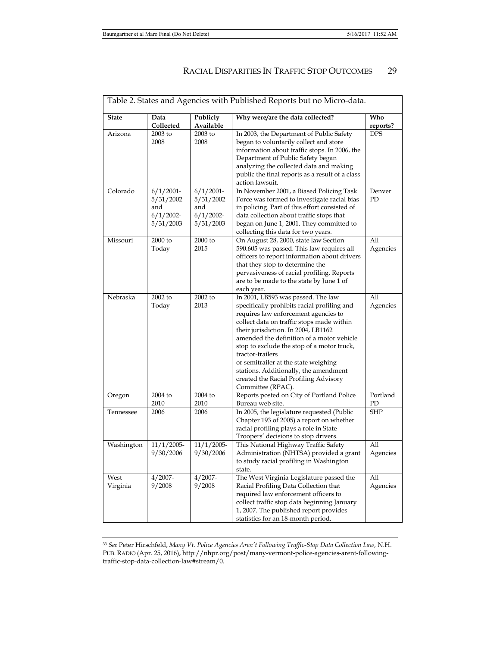| Table 2. States and Agencies with Published Reports but no Micro-data. |                                                               |                                                               |                                                                                                                                                                                                                                                                                                                                                                                                                                                                             |                 |  |  |  |
|------------------------------------------------------------------------|---------------------------------------------------------------|---------------------------------------------------------------|-----------------------------------------------------------------------------------------------------------------------------------------------------------------------------------------------------------------------------------------------------------------------------------------------------------------------------------------------------------------------------------------------------------------------------------------------------------------------------|-----------------|--|--|--|
| <b>State</b>                                                           | Data<br>Collected                                             | Publicly<br>Available                                         | Why were/are the data collected?                                                                                                                                                                                                                                                                                                                                                                                                                                            | Who<br>reports? |  |  |  |
| Arizona                                                                | $2003$ to<br>2008                                             | 2003 to<br>2008                                               | In 2003, the Department of Public Safety<br>began to voluntarily collect and store<br>information about traffic stops. In 2006, the<br>Department of Public Safety began<br>analyzing the collected data and making<br>public the final reports as a result of a class<br>action lawsuit.                                                                                                                                                                                   | <b>DPS</b>      |  |  |  |
| Colorado                                                               | $6/1/2001$ -<br>5/31/2002<br>and<br>$6/1/2002$ -<br>5/31/2003 | $6/1/2001 -$<br>5/31/2002<br>and<br>$6/1/2002$ -<br>5/31/2003 | In November 2001, a Biased Policing Task<br>Force was formed to investigate racial bias<br>in policing. Part of this effort consisted of<br>data collection about traffic stops that<br>began on June 1, 2001. They committed to<br>collecting this data for two years.                                                                                                                                                                                                     | Denver<br>PD    |  |  |  |
| Missouri                                                               | $2000$ to<br>Today                                            | $2000$ to<br>2015                                             | On August 28, 2000, state law Section<br>590.605 was passed. This law requires all<br>officers to report information about drivers<br>that they stop to determine the<br>pervasiveness of racial profiling. Reports<br>are to be made to the state by June 1 of<br>each year.                                                                                                                                                                                               | All<br>Agencies |  |  |  |
| Nebraska                                                               | $2002$ to<br>Today                                            | 2002 to<br>2013                                               | In 2001, LB593 was passed. The law<br>specifically prohibits racial profiling and<br>requires law enforcement agencies to<br>collect data on traffic stops made within<br>their jurisdiction. In 2004, LB1162<br>amended the definition of a motor vehicle<br>stop to exclude the stop of a motor truck,<br>tractor-trailers<br>or semitrailer at the state weighing<br>stations. Additionally, the amendment<br>created the Racial Profiling Advisory<br>Committee (RPAC). | All<br>Agencies |  |  |  |
| Oregon                                                                 | $2004$ to<br>2010                                             | 2004 to<br>2010                                               | Reports posted on City of Portland Police<br>Bureau web site.                                                                                                                                                                                                                                                                                                                                                                                                               | Portland<br>PD  |  |  |  |
| Tennessee                                                              | 2006                                                          | 2006                                                          | In 2005, the legislature requested (Public<br>Chapter 193 of 2005) a report on whether<br>racial profiling plays a role in State<br>Troopers' decisions to stop drivers.                                                                                                                                                                                                                                                                                                    | SHP             |  |  |  |
| Washington                                                             | $11/1/2005$ -<br>9/30/2006                                    | $11/1/2005$ -<br>9/30/2006                                    | This National Highway Traffic Safety<br>Administration (NHTSA) provided a grant<br>to study racial profiling in Washington<br>state.                                                                                                                                                                                                                                                                                                                                        | All<br>Agencies |  |  |  |
| West<br>Virginia                                                       | $4/2007 -$<br>9/2008                                          | $4/2007 -$<br>9/2008                                          | The West Virginia Legislature passed the<br>Racial Profiling Data Collection that<br>required law enforcement officers to<br>collect traffic stop data beginning January<br>1, 2007. The published report provides<br>statistics for an 18-month period.                                                                                                                                                                                                                    | All<br>Agencies |  |  |  |

<sup>33</sup> *See* Peter Hirschfeld, *Many Vt. Police Agencies Aren't Following Traffic-Stop Data Collection Law,* N.H. PUB. RADIO (Apr. 25, 2016), http://nhpr.org/post/many-vermont-police-agencies-arent-followingtraffic-stop-data-collection-law#stream/0.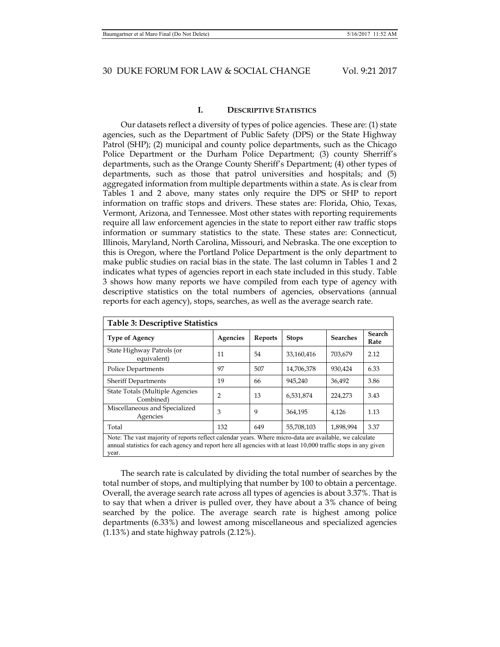### **I. DESCRIPTIVE STATISTICS**

Our datasets reflect a diversity of types of police agencies. These are: (1) state agencies, such as the Department of Public Safety (DPS) or the State Highway Patrol (SHP); (2) municipal and county police departments, such as the Chicago Police Department or the Durham Police Department; (3) county Sherriff's departments, such as the Orange County Sheriff's Department; (4) other types of departments, such as those that patrol universities and hospitals; and (5) aggregated information from multiple departments within a state. As is clear from Tables 1 and 2 above, many states only require the DPS or SHP to report information on traffic stops and drivers. These states are: Florida, Ohio, Texas, Vermont, Arizona, and Tennessee. Most other states with reporting requirements require all law enforcement agencies in the state to report either raw traffic stops information or summary statistics to the state. These states are: Connecticut, Illinois, Maryland, North Carolina, Missouri, and Nebraska. The one exception to this is Oregon, where the Portland Police Department is the only department to make public studies on racial bias in the state. The last column in Tables 1 and 2 indicates what types of agencies report in each state included in this study. Table 3 shows how many reports we have compiled from each type of agency with descriptive statistics on the total numbers of agencies, observations (annual reports for each agency), stops, searches, as well as the average search rate.

| Table 3: Descriptive Statistics                                                                                                                                                                                                    |          |                |              |                 |                       |  |  |  |  |
|------------------------------------------------------------------------------------------------------------------------------------------------------------------------------------------------------------------------------------|----------|----------------|--------------|-----------------|-----------------------|--|--|--|--|
| <b>Type of Agency</b>                                                                                                                                                                                                              | Agencies | <b>Reports</b> | <b>Stops</b> | <b>Searches</b> | <b>Search</b><br>Rate |  |  |  |  |
| State Highway Patrols (or<br>equivalent)                                                                                                                                                                                           | 11       | 54             | 33.160.416   | 703.679         | 2.12                  |  |  |  |  |
| <b>Police Departments</b>                                                                                                                                                                                                          | 97       | 507            | 14,706,378   | 930.424         | 6.33                  |  |  |  |  |
| <b>Sheriff Departments</b>                                                                                                                                                                                                         | 19       | 66             | 945,240      | 36.492          | 3.86                  |  |  |  |  |
| State Totals (Multiple Agencies<br>Combined)                                                                                                                                                                                       | 2        | 13             | 6,531,874    | 224,273         | 3.43                  |  |  |  |  |
| Miscellaneous and Specialized<br>Agencies                                                                                                                                                                                          | 3        | 9              | 364.195      | 4.126           | 1.13                  |  |  |  |  |
| Total                                                                                                                                                                                                                              | 132      | 649            | 55,708,103   | 1,898,994       | 3.37                  |  |  |  |  |
| Note: The vast majority of reports reflect calendar years. Where micro-data are available, we calculate<br>annual statistics for each agency and report here all agencies with at least 10,000 traffic stops in any given<br>year. |          |                |              |                 |                       |  |  |  |  |

The search rate is calculated by dividing the total number of searches by the total number of stops, and multiplying that number by 100 to obtain a percentage. Overall, the average search rate across all types of agencies is about 3.37%. That is to say that when a driver is pulled over, they have about a 3% chance of being searched by the police. The average search rate is highest among police departments (6.33%) and lowest among miscellaneous and specialized agencies (1.13%) and state highway patrols (2.12%).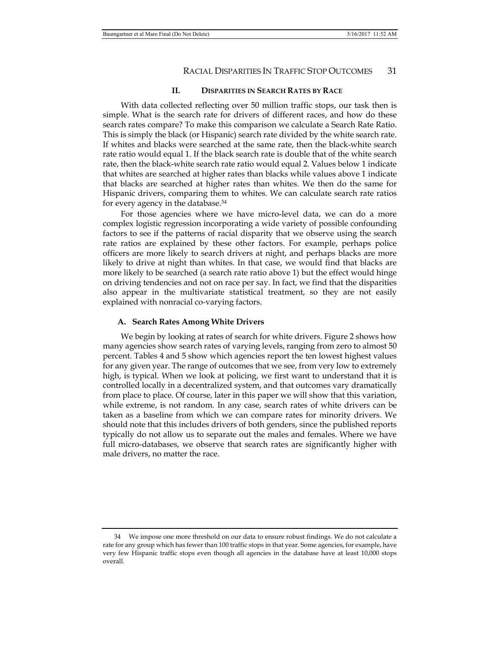### **II. DISPARITIES IN SEARCH RATES BY RACE**

With data collected reflecting over 50 million traffic stops, our task then is simple. What is the search rate for drivers of different races, and how do these search rates compare? To make this comparison we calculate a Search Rate Ratio. This is simply the black (or Hispanic) search rate divided by the white search rate. If whites and blacks were searched at the same rate, then the black-white search rate ratio would equal 1. If the black search rate is double that of the white search rate, then the black-white search rate ratio would equal 2. Values below 1 indicate that whites are searched at higher rates than blacks while values above 1 indicate that blacks are searched at higher rates than whites. We then do the same for Hispanic drivers, comparing them to whites. We can calculate search rate ratios for every agency in the database.34

For those agencies where we have micro-level data, we can do a more complex logistic regression incorporating a wide variety of possible confounding factors to see if the patterns of racial disparity that we observe using the search rate ratios are explained by these other factors. For example, perhaps police officers are more likely to search drivers at night, and perhaps blacks are more likely to drive at night than whites. In that case, we would find that blacks are more likely to be searched (a search rate ratio above 1) but the effect would hinge on driving tendencies and not on race per say. In fact, we find that the disparities also appear in the multivariate statistical treatment, so they are not easily explained with nonracial co-varying factors.

#### **A. Search Rates Among White Drivers**

We begin by looking at rates of search for white drivers. Figure 2 shows how many agencies show search rates of varying levels, ranging from zero to almost 50 percent. Tables 4 and 5 show which agencies report the ten lowest highest values for any given year. The range of outcomes that we see, from very low to extremely high, is typical. When we look at policing, we first want to understand that it is controlled locally in a decentralized system, and that outcomes vary dramatically from place to place. Of course, later in this paper we will show that this variation, while extreme, is not random. In any case, search rates of white drivers can be taken as a baseline from which we can compare rates for minority drivers. We should note that this includes drivers of both genders, since the published reports typically do not allow us to separate out the males and females. Where we have full micro-databases, we observe that search rates are significantly higher with male drivers, no matter the race.

 <sup>34</sup> We impose one more threshold on our data to ensure robust findings. We do not calculate a rate for any group which has fewer than 100 traffic stops in that year. Some agencies, for example, have very few Hispanic traffic stops even though all agencies in the database have at least 10,000 stops overall.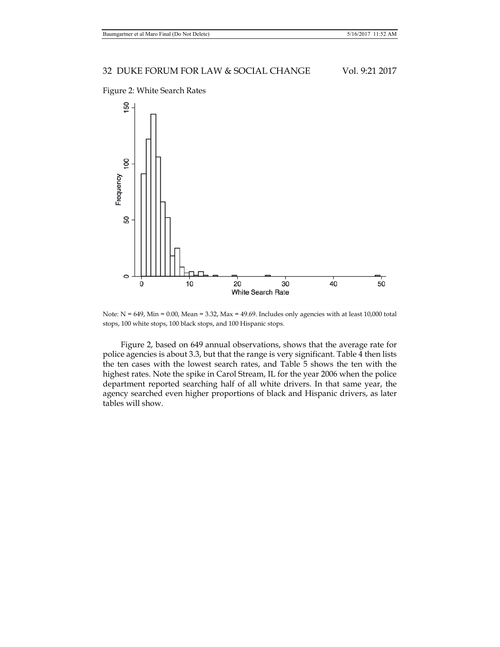

Figure 2: White Search Rates

Note:  $N = 649$ , Min = 0.00, Mean = 3.32, Max = 49.69. Includes only agencies with at least 10,000 total stops, 100 white stops, 100 black stops, and 100 Hispanic stops.

Figure 2, based on 649 annual observations, shows that the average rate for police agencies is about 3.3, but that the range is very significant. Table 4 then lists the ten cases with the lowest search rates, and Table 5 shows the ten with the highest rates. Note the spike in Carol Stream, IL for the year 2006 when the police department reported searching half of all white drivers. In that same year, the agency searched even higher proportions of black and Hispanic drivers, as later tables will show.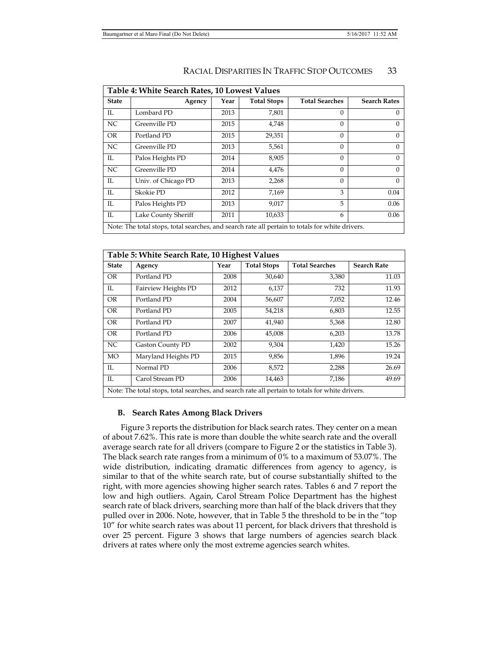| Table 4: White Search Rates, 10 Lowest Values |                                                                                                 |      |                    |                       |                     |  |  |  |  |
|-----------------------------------------------|-------------------------------------------------------------------------------------------------|------|--------------------|-----------------------|---------------------|--|--|--|--|
| <b>State</b>                                  | Agency                                                                                          | Year | <b>Total Stops</b> | <b>Total Searches</b> | <b>Search Rates</b> |  |  |  |  |
| IL                                            | Lombard PD                                                                                      | 2013 | 7,801              | $\Omega$              |                     |  |  |  |  |
| NC.                                           | Greenville PD                                                                                   | 2015 | 4,748              | $\Omega$              | 0                   |  |  |  |  |
| <b>OR</b>                                     | Portland PD                                                                                     | 2015 | 29,351             | $\Omega$              | $\Omega$            |  |  |  |  |
| NC.                                           | Greenville PD                                                                                   | 2013 | 5,561              | $\Omega$              | 0                   |  |  |  |  |
| IL                                            | Palos Heights PD                                                                                | 2014 | 8,905              | $\Omega$              | 0                   |  |  |  |  |
| NC                                            | Greenville PD                                                                                   | 2014 | 4,476              | $\Omega$              | 0                   |  |  |  |  |
| IL                                            | Univ. of Chicago PD                                                                             | 2013 | 2,268              | $\Omega$              | $\Omega$            |  |  |  |  |
| IL                                            | Skokie PD                                                                                       | 2012 | 7,169              | 3                     | 0.04                |  |  |  |  |
| IL                                            | Palos Heights PD                                                                                | 2013 | 9,017              | 5                     | 0.06                |  |  |  |  |
| IL                                            | Lake County Sheriff                                                                             | 2011 | 10,633             | 6                     | 0.06                |  |  |  |  |
|                                               | Note: The total stops, total searches, and search rate all pertain to totals for white drivers. |      |                    |                       |                     |  |  |  |  |

|              | Table 5: White Search Rate, 10 Highest Values                                                   |      |                    |                       |                    |  |  |  |  |  |  |
|--------------|-------------------------------------------------------------------------------------------------|------|--------------------|-----------------------|--------------------|--|--|--|--|--|--|
| <b>State</b> | Agency                                                                                          | Year | <b>Total Stops</b> | <b>Total Searches</b> | <b>Search Rate</b> |  |  |  |  |  |  |
| <b>OR</b>    | Portland PD                                                                                     | 2008 | 30,640             | 3,380                 | 11.03              |  |  |  |  |  |  |
| $\mathbb{L}$ | Fairview Heights PD                                                                             | 2012 | 6,137              | 732                   | 11.93              |  |  |  |  |  |  |
| <b>OR</b>    | Portland PD                                                                                     | 2004 | 56,607             | 7,052                 | 12.46              |  |  |  |  |  |  |
| <b>OR</b>    | Portland PD                                                                                     | 2005 | 54,218             | 6,803                 | 12.55              |  |  |  |  |  |  |
| <b>OR</b>    | Portland PD                                                                                     | 2007 | 41,940             | 5,368                 | 12.80              |  |  |  |  |  |  |
| <b>OR</b>    | Portland PD                                                                                     | 2006 | 45,008             | 6,203                 | 13.78              |  |  |  |  |  |  |
| NC           | <b>Gaston County PD</b>                                                                         | 2002 | 9,304              | 1,420                 | 15.26              |  |  |  |  |  |  |
| <b>MO</b>    | Maryland Heights PD                                                                             | 2015 | 9,856              | 1,896                 | 19.24              |  |  |  |  |  |  |
| IL           | Normal PD                                                                                       | 2006 | 8,572              | 2,288                 | 26.69              |  |  |  |  |  |  |
| IL           | Carol Stream PD                                                                                 | 2006 | 14,463             | 7,186                 | 49.69              |  |  |  |  |  |  |
|              | Note: The total stops, total searches, and search rate all pertain to totals for white drivers. |      |                    |                       |                    |  |  |  |  |  |  |

### **B. Search Rates Among Black Drivers**

Figure 3 reports the distribution for black search rates. They center on a mean of about 7.62%. This rate is more than double the white search rate and the overall average search rate for all drivers (compare to Figure 2 or the statistics in Table 3). The black search rate ranges from a minimum of 0% to a maximum of 53.07%. The wide distribution, indicating dramatic differences from agency to agency, is similar to that of the white search rate, but of course substantially shifted to the right, with more agencies showing higher search rates. Tables 6 and 7 report the low and high outliers. Again, Carol Stream Police Department has the highest search rate of black drivers, searching more than half of the black drivers that they pulled over in 2006. Note, however, that in Table 5 the threshold to be in the "top 10" for white search rates was about 11 percent, for black drivers that threshold is over 25 percent. Figure 3 shows that large numbers of agencies search black drivers at rates where only the most extreme agencies search whites.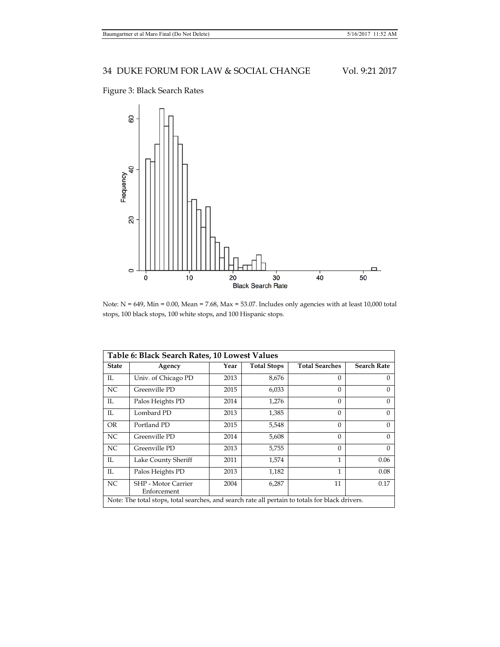# Figure 3: Black Search Rates



Note:  $N = 649$ ,  $Min = 0.00$ ,  $Mean = 7.68$ ,  $Max = 53.07$ . Includes only agencies with at least 10,000 total stops, 100 black stops, 100 white stops, and 100 Hispanic stops.

|              | Table 6: Black Search Rates, 10 Lowest Values                                                   |      |                    |                       |                    |  |  |  |  |  |
|--------------|-------------------------------------------------------------------------------------------------|------|--------------------|-----------------------|--------------------|--|--|--|--|--|
| <b>State</b> | Agency                                                                                          | Year | <b>Total Stops</b> | <b>Total Searches</b> | <b>Search Rate</b> |  |  |  |  |  |
| IL           | Univ. of Chicago PD                                                                             | 2013 | 8,676              | $\Omega$              | 0                  |  |  |  |  |  |
| NC           | Greenville PD                                                                                   | 2015 | 6,033              | $\Omega$              | $\Omega$           |  |  |  |  |  |
| $\mathbb{L}$ | Palos Heights PD                                                                                | 2014 | 1,276              | $\Omega$              | $\Omega$           |  |  |  |  |  |
| IL           | Lombard PD                                                                                      | 2013 | 1,385              | $\Omega$              | $\Omega$           |  |  |  |  |  |
| <b>OR</b>    | Portland PD                                                                                     | 2015 | 5,548              | $\Omega$              | $\Omega$           |  |  |  |  |  |
| NC           | Greenville PD                                                                                   | 2014 | 5,608              | $\Omega$              | $\Omega$           |  |  |  |  |  |
| NC           | Greenville PD                                                                                   | 2013 | 5,755              | $\Omega$              | $\Omega$           |  |  |  |  |  |
| $\mathbb{L}$ | Lake County Sheriff                                                                             | 2011 | 1,574              | 1                     | 0.06               |  |  |  |  |  |
| $\mathbb{L}$ | Palos Heights PD                                                                                | 2013 | 1,182              | 1                     | 0.08               |  |  |  |  |  |
| NC           | <b>SHP</b> - Motor Carrier<br>Enforcement                                                       | 2004 | 6,287              | 11                    | 0.17               |  |  |  |  |  |
|              | Note: The total stops, total searches, and search rate all pertain to totals for black drivers. |      |                    |                       |                    |  |  |  |  |  |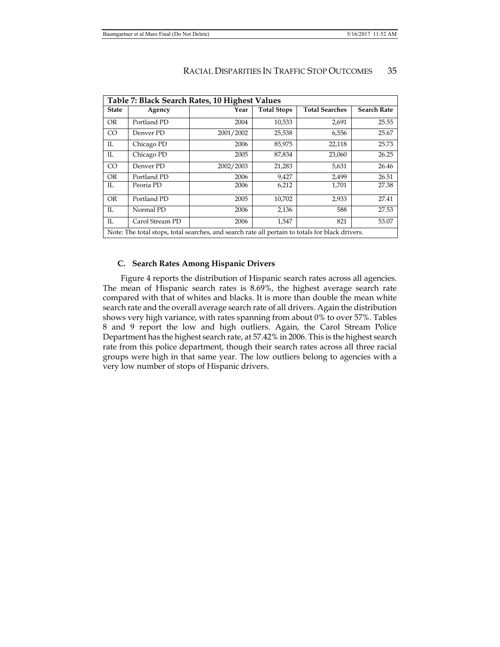| Table 7: Black Search Rates, 10 Highest Values |                 |                                                                                                 |                    |                       |                    |  |  |  |  |
|------------------------------------------------|-----------------|-------------------------------------------------------------------------------------------------|--------------------|-----------------------|--------------------|--|--|--|--|
| <b>State</b>                                   | Agency          | Year                                                                                            | <b>Total Stops</b> | <b>Total Searches</b> | <b>Search Rate</b> |  |  |  |  |
| <b>OR</b>                                      | Portland PD     | 2004                                                                                            | 10,533             | 2,691                 | 25.55              |  |  |  |  |
| <sub>CO</sub>                                  | Denver PD       | 2001/2002                                                                                       | 25,538             | 6,556                 | 25.67              |  |  |  |  |
| IL                                             | Chicago PD      | 2006                                                                                            | 85,975             | 22,118                | 25.73              |  |  |  |  |
| IL                                             | Chicago PD      | 2005                                                                                            | 87,834             | 23,060                | 26.25              |  |  |  |  |
| CO <sub>1</sub>                                | Denver PD       | 2002/2003                                                                                       | 21,283             | 5,631                 | 26.46              |  |  |  |  |
| <b>OR</b>                                      | Portland PD     | 2006                                                                                            | 9,427              | 2,499                 | 26.51              |  |  |  |  |
| IL.                                            | Peoria PD       | 2006                                                                                            | 6,212              | 1,701                 | 27.38              |  |  |  |  |
| <b>OR</b>                                      | Portland PD     | 2005                                                                                            | 10,702             | 2,933                 | 27.41              |  |  |  |  |
| IL                                             | Normal PD       | 2006                                                                                            | 2,136              | 588                   | 27.53              |  |  |  |  |
| IL                                             | Carol Stream PD | 2006                                                                                            | 1,547              | 821                   | 53.07              |  |  |  |  |
|                                                |                 | Note: The total stops, total searches, and search rate all pertain to totals for black drivers. |                    |                       |                    |  |  |  |  |

## **C. Search Rates Among Hispanic Drivers**

Figure 4 reports the distribution of Hispanic search rates across all agencies. The mean of Hispanic search rates is 8.69%, the highest average search rate compared with that of whites and blacks. It is more than double the mean white search rate and the overall average search rate of all drivers. Again the distribution shows very high variance, with rates spanning from about 0% to over 57%. Tables 8 and 9 report the low and high outliers. Again, the Carol Stream Police Department has the highest search rate, at 57.42% in 2006. This is the highest search rate from this police department, though their search rates across all three racial groups were high in that same year. The low outliers belong to agencies with a very low number of stops of Hispanic drivers.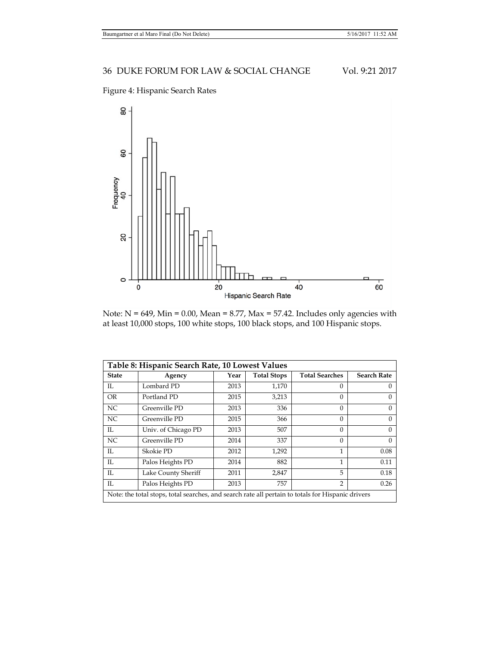



Note:  $N = 649$ , Min = 0.00, Mean = 8.77, Max = 57.42. Includes only agencies with at least 10,000 stops, 100 white stops, 100 black stops, and 100 Hispanic stops.

| Table 8: Hispanic Search Rate, 10 Lowest Values |                                                                                                   |      |                    |                       |                    |  |  |  |  |  |
|-------------------------------------------------|---------------------------------------------------------------------------------------------------|------|--------------------|-----------------------|--------------------|--|--|--|--|--|
| <b>State</b>                                    | Agency                                                                                            | Year | <b>Total Stops</b> | <b>Total Searches</b> | <b>Search Rate</b> |  |  |  |  |  |
| IL                                              | Lombard PD                                                                                        | 2013 | 1,170              | $\Omega$              | $\Omega$           |  |  |  |  |  |
| <b>OR</b>                                       | Portland PD                                                                                       | 2015 | 3,213              | $\Omega$              | $\Omega$           |  |  |  |  |  |
| NC                                              | Greenville PD                                                                                     | 2013 | 336                | $\Omega$              | $\Omega$           |  |  |  |  |  |
| NC                                              | Greenville PD                                                                                     | 2015 | 366                | $\Omega$              | $\Omega$           |  |  |  |  |  |
| IL                                              | Univ. of Chicago PD                                                                               | 2013 | 507                | $\Omega$              | $\Omega$           |  |  |  |  |  |
| NC                                              | Greenville PD                                                                                     | 2014 | 337                | $\Omega$              | $\Omega$           |  |  |  |  |  |
| IL                                              | Skokie PD                                                                                         | 2012 | 1,292              | $\mathbf{1}$          | 0.08               |  |  |  |  |  |
| IL                                              | Palos Heights PD                                                                                  | 2014 | 882                | $\mathbf{1}$          | 0.11               |  |  |  |  |  |
| IL                                              | Lake County Sheriff                                                                               | 2011 | 2,847              | 5                     | 0.18               |  |  |  |  |  |
| IL                                              | Palos Heights PD                                                                                  | 2013 | 757                | $\mathcal{P}$         | 0.26               |  |  |  |  |  |
|                                                 | Note: the total stops, total searches, and search rate all pertain to totals for Hispanic drivers |      |                    |                       |                    |  |  |  |  |  |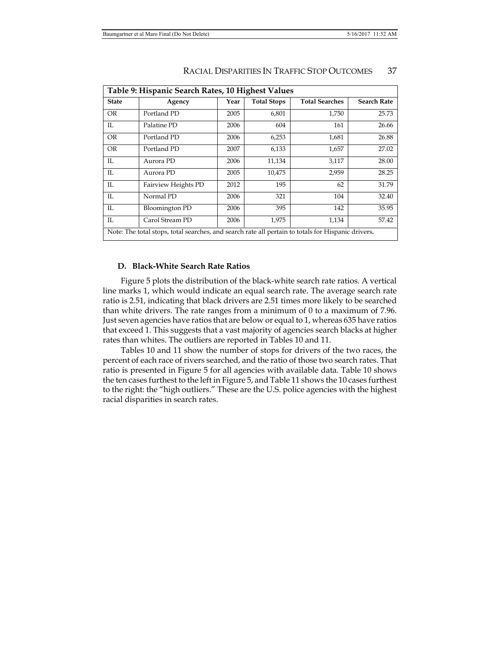| Table 9: Hispanic Search Rates, 10 Highest Values |                                                                                                    |      |                    |                       |                    |  |  |  |  |
|---------------------------------------------------|----------------------------------------------------------------------------------------------------|------|--------------------|-----------------------|--------------------|--|--|--|--|
| <b>State</b>                                      | Agency                                                                                             | Year | <b>Total Stops</b> | <b>Total Searches</b> | <b>Search Rate</b> |  |  |  |  |
| OR.                                               | Portland PD                                                                                        | 2005 | 6,801              | 1,750                 | 25.73              |  |  |  |  |
| IL                                                | Palatine PD                                                                                        | 2006 | 604                | 161                   | 26.66              |  |  |  |  |
| <b>OR</b>                                         | Portland PD                                                                                        | 2006 | 6,253              | 1,681                 | 26.88              |  |  |  |  |
| <b>OR</b>                                         | Portland PD                                                                                        | 2007 | 6,133              | 1,657                 | 27.02              |  |  |  |  |
| IL                                                | Aurora PD                                                                                          | 2006 | 11,134             | 3,117                 | 28.00              |  |  |  |  |
| IL                                                | Aurora PD                                                                                          | 2005 | 10,475             | 2,959                 | 28.25              |  |  |  |  |
| $_{\rm IL}$                                       | Fairview Heights PD                                                                                | 2012 | 195                | 62                    | 31.79              |  |  |  |  |
| IL                                                | Normal PD                                                                                          | 2006 | 321                | 104                   | 32.40              |  |  |  |  |
| IL                                                | Bloomington PD                                                                                     | 2006 | 395                | 142                   | 35.95              |  |  |  |  |
| IL                                                | Carol Stream PD                                                                                    | 2006 | 1,975              | 1,134                 | 57.42              |  |  |  |  |
|                                                   | Note: The total stops, total searches, and search rate all pertain to totals for Hispanic drivers. |      |                    |                       |                    |  |  |  |  |

### **D. Black-White Search Rate Ratios**

Figure 5 plots the distribution of the black-white search rate ratios. A vertical line marks 1, which would indicate an equal search rate. The average search rate ratio is 2.51, indicating that black drivers are 2.51 times more likely to be searched than white drivers. The rate ranges from a minimum of  $0$  to a maximum of 7.96. Just seven agencies have ratios that are below or equal to 1, whereas 635 have ratios that exceed 1. This suggests that a vast majority of agencies search blacks at higher rates than whites. The outliers are reported in Tables 10 and 11.

Tables 10 and 11 show the number of stops for drivers of the two races, the percent of each race of rivers searched, and the ratio of those two search rates. That ratio is presented in Figure 5 for all agencies with available data. Table 10 shows the ten cases furthest to the left in Figure 5, and Table 11 shows the 10 cases furthest to the right: the "high outliers." These are the U.S. police agencies with the highest racial disparities in search rates.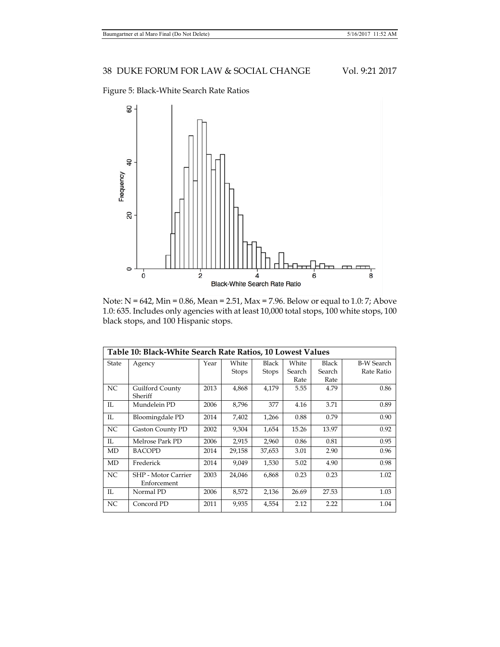Figure 5: Black-White Search Rate Ratios



Note: N = 642, Min = 0.86, Mean = 2.51, Max = 7.96. Below or equal to 1.0: 7; Above 1.0: 635. Includes only agencies with at least 10,000 total stops, 100 white stops, 100 black stops, and 100 Hispanic stops.

|       | Table 10: Black-White Search Rate Ratios, 10 Lowest Values |      |              |              |        |        |                   |  |  |  |
|-------|------------------------------------------------------------|------|--------------|--------------|--------|--------|-------------------|--|--|--|
| State | Agency                                                     | Year | White        | Black        | White  | Black  | <b>B-W Search</b> |  |  |  |
|       |                                                            |      | <b>Stops</b> | <b>Stops</b> | Search | Search | Rate Ratio        |  |  |  |
|       |                                                            |      |              |              | Rate   | Rate   |                   |  |  |  |
| NC    | Guilford County                                            | 2013 | 4,868        | 4,179        | 5.55   | 4.79   | 0.86              |  |  |  |
|       | Sheriff                                                    |      |              |              |        |        |                   |  |  |  |
| IL    | Mundelein PD                                               | 2006 | 8,796        | 377          | 4.16   | 3.71   | 0.89              |  |  |  |
| IL    | Bloomingdale PD                                            | 2014 | 7,402        | 1,266        | 0.88   | 0.79   | 0.90              |  |  |  |
| NC    | <b>Gaston County PD</b>                                    | 2002 | 9,304        | 1,654        | 15.26  | 13.97  | 0.92              |  |  |  |
| IL.   | Melrose Park PD                                            | 2006 | 2,915        | 2,960        | 0.86   | 0.81   | 0.95              |  |  |  |
| MD    | <b>BACOPD</b>                                              | 2014 | 29,158       | 37,653       | 3.01   | 2.90   | 0.96              |  |  |  |
| MD    | Frederick                                                  | 2014 | 9.049        | 1,530        | 5.02   | 4.90   | 0.98              |  |  |  |
| NC    | SHP - Motor Carrier<br>Enforcement                         | 2003 | 24,046       | 6,868        | 0.23   | 0.23   | 1.02              |  |  |  |
| IL    | Normal PD                                                  | 2006 | 8,572        | 2,136        | 26.69  | 27.53  | 1.03              |  |  |  |
| NC    | Concord PD                                                 | 2011 | 9,935        | 4,554        | 2.12   | 2.22   | 1.04              |  |  |  |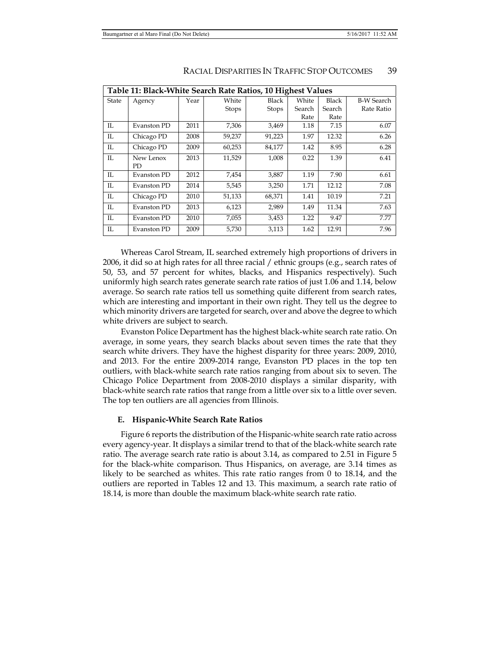|              | Table 11: Black-White Search Rate Ratios, 10 Highest Values |      |              |              |        |              |                   |  |  |  |
|--------------|-------------------------------------------------------------|------|--------------|--------------|--------|--------------|-------------------|--|--|--|
| State        | Agency                                                      | Year | White        | Black        | White  | <b>Black</b> | <b>B-W Search</b> |  |  |  |
|              |                                                             |      | <b>Stops</b> | <b>Stops</b> | Search | Search       | Rate Ratio        |  |  |  |
|              |                                                             |      |              |              | Rate   | Rate         |                   |  |  |  |
| IL           | Evanston PD                                                 | 2011 | 7,306        | 3,469        | 1.18   | 7.15         | 6.07              |  |  |  |
| IL           | Chicago PD                                                  | 2008 | 59,237       | 91,223       | 1.97   | 12.32        | 6.26              |  |  |  |
| IL           | Chicago PD                                                  | 2009 | 60,253       | 84,177       | 1.42   | 8.95         | 6.28              |  |  |  |
| IL           | New Lenox                                                   | 2013 | 11,529       | 1,008        | 0.22   | 1.39         | 6.41              |  |  |  |
|              | PD                                                          |      |              |              |        |              |                   |  |  |  |
| IL           | Evanston PD                                                 | 2012 | 7,454        | 3,887        | 1.19   | 7.90         | 6.61              |  |  |  |
| IL           | Evanston PD                                                 | 2014 | 5,545        | 3,250        | 1.71   | 12.12        | 7.08              |  |  |  |
| $\mathbb{L}$ | Chicago PD                                                  | 2010 | 51,133       | 68,371       | 1.41   | 10.19        | 7.21              |  |  |  |
| IL           | Evanston PD                                                 | 2013 | 6,123        | 2,989        | 1.49   | 11.34        | 7.63              |  |  |  |
| $\mathbb{L}$ | Evanston PD                                                 | 2010 | 7,055        | 3,453        | 1.22   | 9.47         | 7.77              |  |  |  |
| IL           | Evanston PD                                                 | 2009 | 5,730        | 3,113        | 1.62   | 12.91        | 7.96              |  |  |  |

Whereas Carol Stream, IL searched extremely high proportions of drivers in 2006, it did so at high rates for all three racial / ethnic groups (e.g., search rates of 50, 53, and 57 percent for whites, blacks, and Hispanics respectively). Such uniformly high search rates generate search rate ratios of just 1.06 and 1.14, below average. So search rate ratios tell us something quite different from search rates, which are interesting and important in their own right. They tell us the degree to which minority drivers are targeted for search, over and above the degree to which white drivers are subject to search.

Evanston Police Department has the highest black-white search rate ratio. On average, in some years, they search blacks about seven times the rate that they search white drivers. They have the highest disparity for three years: 2009, 2010, and 2013. For the entire 2009-2014 range, Evanston PD places in the top ten outliers, with black-white search rate ratios ranging from about six to seven. The Chicago Police Department from 2008-2010 displays a similar disparity, with black-white search rate ratios that range from a little over six to a little over seven. The top ten outliers are all agencies from Illinois.

### **E. Hispanic-White Search Rate Ratios**

Figure 6 reports the distribution of the Hispanic-white search rate ratio across every agency-year. It displays a similar trend to that of the black-white search rate ratio. The average search rate ratio is about 3.14, as compared to 2.51 in Figure 5 for the black-white comparison. Thus Hispanics, on average, are 3.14 times as likely to be searched as whites. This rate ratio ranges from 0 to 18.14, and the outliers are reported in Tables 12 and 13. This maximum, a search rate ratio of 18.14, is more than double the maximum black-white search rate ratio.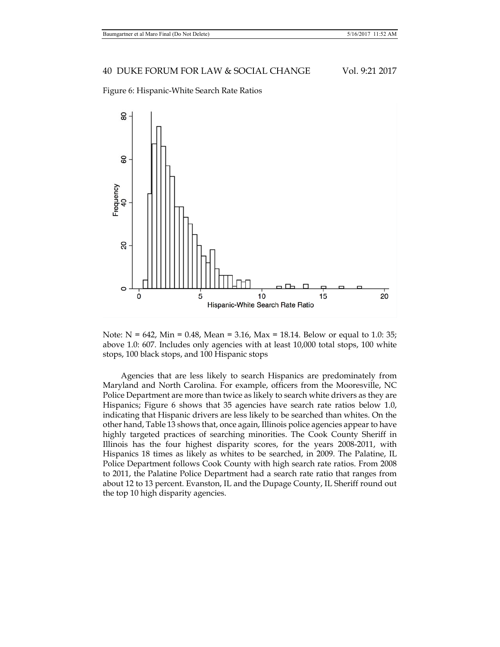Figure 6: Hispanic-White Search Rate Ratios



Note:  $N = 642$ , Min = 0.48, Mean = 3.16, Max = 18.14. Below or equal to 1.0: 35; above 1.0: 607. Includes only agencies with at least 10,000 total stops, 100 white stops, 100 black stops, and 100 Hispanic stops

Agencies that are less likely to search Hispanics are predominately from Maryland and North Carolina. For example, officers from the Mooresville, NC Police Department are more than twice as likely to search white drivers as they are Hispanics; Figure 6 shows that 35 agencies have search rate ratios below 1.0, indicating that Hispanic drivers are less likely to be searched than whites. On the other hand, Table 13 shows that, once again, Illinois police agencies appear to have highly targeted practices of searching minorities. The Cook County Sheriff in Illinois has the four highest disparity scores, for the years 2008-2011, with Hispanics 18 times as likely as whites to be searched, in 2009. The Palatine, IL Police Department follows Cook County with high search rate ratios. From 2008 to 2011, the Palatine Police Department had a search rate ratio that ranges from about 12 to 13 percent. Evanston, IL and the Dupage County, IL Sheriff round out the top 10 high disparity agencies.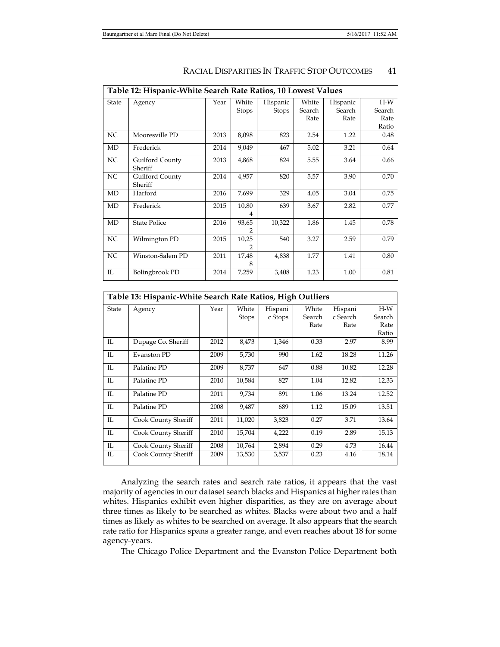|                                 | Table 12: Hispanic-White Search Rate Ratios, 10 Lowest Values |      |            |              |        |          |        |  |
|---------------------------------|---------------------------------------------------------------|------|------------|--------------|--------|----------|--------|--|
| State                           | Agency                                                        | Year | White      | Hispanic     | White  | Hispanic | $H-W$  |  |
|                                 |                                                               |      | Stops      | <b>Stops</b> | Search | Search   | Search |  |
|                                 |                                                               |      |            |              | Rate   | Rate     | Rate   |  |
|                                 |                                                               |      |            |              |        |          | Ratio  |  |
| NC                              | Mooresville PD                                                | 2013 | 8,098      | 823          | 2.54   | 1.22     | 0.48   |  |
| MD                              | Frederick                                                     | 2014 | 9,049      | 467          | 5.02   | 3.21     | 0.64   |  |
| NC                              | Guilford County<br>Sheriff                                    | 2013 | 4,868      | 824          | 5.55   | 3.64     | 0.66   |  |
| NC                              | Guilford County<br>Sheriff                                    | 2014 | 4,957      | 820          | 5.57   | 3.90     | 0.70   |  |
| MD                              | Harford                                                       | 2016 | 7,699      | 329          | 4.05   | 3.04     | 0.75   |  |
| MD                              | Frederick                                                     | 2015 | 10,80      | 639          | 3.67   | 2.82     | 0.77   |  |
| MD                              | <b>State Police</b>                                           | 2016 | 93,65      | 10,322       | 1.86   | 1.45     | 0.78   |  |
| NC                              | Wilmington PD                                                 | 2015 | 10,25<br>2 | 540          | 3.27   | 2.59     | 0.79   |  |
| NC                              | Winston-Salem PD                                              | 2011 | 17,48<br>8 | 4,838        | 1.77   | 1.41     | 0.80   |  |
| $\mathop{\mathrm{IL}}\nolimits$ | Bolingbrook PD                                                | 2014 | 7,259      | 3,408        | 1.23   | 1.00     | 0.81   |  |

|       | Table 13: Hispanic-White Search Rate Ratios, High Outliers |      |              |         |        |          |        |  |
|-------|------------------------------------------------------------|------|--------------|---------|--------|----------|--------|--|
| State | Agency                                                     | Year | White        | Hispani | White  | Hispani  | $H-W$  |  |
|       |                                                            |      | <b>Stops</b> | c Stops | Search | c Search | Search |  |
|       |                                                            |      |              |         | Rate   | Rate     | Rate   |  |
|       |                                                            |      |              |         |        |          | Ratio  |  |
| IL    | Dupage Co. Sheriff                                         | 2012 | 8,473        | 1,346   | 0.33   | 2.97     | 8.99   |  |
| IL    | <b>Evanston PD</b>                                         | 2009 | 5,730        | 990     | 1.62   | 18.28    | 11.26  |  |
| IL    | Palatine PD                                                | 2009 | 8,737        | 647     | 0.88   | 10.82    | 12.28  |  |
| IL    | Palatine PD                                                | 2010 | 10,584       | 827     | 1.04   | 12.82    | 12.33  |  |
| IL    | Palatine PD                                                | 2011 | 9,734        | 891     | 1.06   | 13.24    | 12.52  |  |
| IL    | Palatine PD                                                | 2008 | 9,487        | 689     | 1.12   | 15.09    | 13.51  |  |
| IL    | Cook County Sheriff                                        | 2011 | 11,020       | 3,823   | 0.27   | 3.71     | 13.64  |  |
| IL    | Cook County Sheriff                                        | 2010 | 15,704       | 4,222   | 0.19   | 2.89     | 15.13  |  |
| IL    | Cook County Sheriff                                        | 2008 | 10,764       | 2,894   | 0.29   | 4.73     | 16.44  |  |
| IL    | Cook County Sheriff                                        | 2009 | 13,530       | 3,537   | 0.23   | 4.16     | 18.14  |  |

Analyzing the search rates and search rate ratios, it appears that the vast majority of agencies in our dataset search blacks and Hispanics at higher rates than whites. Hispanics exhibit even higher disparities, as they are on average about three times as likely to be searched as whites. Blacks were about two and a half times as likely as whites to be searched on average. It also appears that the search rate ratio for Hispanics spans a greater range, and even reaches about 18 for some agency-years.

The Chicago Police Department and the Evanston Police Department both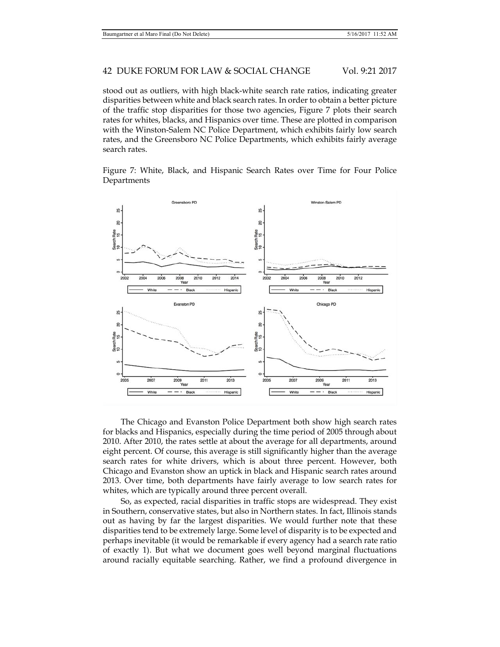stood out as outliers, with high black-white search rate ratios, indicating greater disparities between white and black search rates. In order to obtain a better picture of the traffic stop disparities for those two agencies, Figure 7 plots their search rates for whites, blacks, and Hispanics over time. These are plotted in comparison with the Winston-Salem NC Police Department, which exhibits fairly low search rates, and the Greensboro NC Police Departments, which exhibits fairly average search rates.





The Chicago and Evanston Police Department both show high search rates for blacks and Hispanics, especially during the time period of 2005 through about 2010. After 2010, the rates settle at about the average for all departments, around eight percent. Of course, this average is still significantly higher than the average search rates for white drivers, which is about three percent. However, both Chicago and Evanston show an uptick in black and Hispanic search rates around 2013. Over time, both departments have fairly average to low search rates for whites, which are typically around three percent overall.

So, as expected, racial disparities in traffic stops are widespread. They exist in Southern, conservative states, but also in Northern states. In fact, Illinois stands out as having by far the largest disparities. We would further note that these disparities tend to be extremely large. Some level of disparity is to be expected and perhaps inevitable (it would be remarkable if every agency had a search rate ratio of exactly 1). But what we document goes well beyond marginal fluctuations around racially equitable searching. Rather, we find a profound divergence in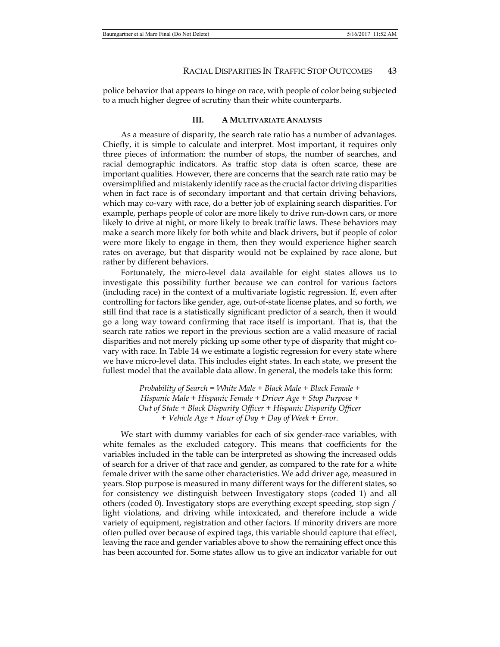police behavior that appears to hinge on race, with people of color being subjected to a much higher degree of scrutiny than their white counterparts.

### **III. A MULTIVARIATE ANALYSIS**

As a measure of disparity, the search rate ratio has a number of advantages. Chiefly, it is simple to calculate and interpret. Most important, it requires only three pieces of information: the number of stops, the number of searches, and racial demographic indicators. As traffic stop data is often scarce, these are important qualities. However, there are concerns that the search rate ratio may be oversimplified and mistakenly identify race as the crucial factor driving disparities when in fact race is of secondary important and that certain driving behaviors, which may co-vary with race, do a better job of explaining search disparities. For example, perhaps people of color are more likely to drive run-down cars, or more likely to drive at night, or more likely to break traffic laws. These behaviors may make a search more likely for both white and black drivers, but if people of color were more likely to engage in them, then they would experience higher search rates on average, but that disparity would not be explained by race alone, but rather by different behaviors.

Fortunately, the micro-level data available for eight states allows us to investigate this possibility further because we can control for various factors (including race) in the context of a multivariate logistic regression. If, even after controlling for factors like gender, age, out-of-state license plates, and so forth, we still find that race is a statistically significant predictor of a search, then it would go a long way toward confirming that race itself is important. That is, that the search rate ratios we report in the previous section are a valid measure of racial disparities and not merely picking up some other type of disparity that might covary with race. In Table 14 we estimate a logistic regression for every state where we have micro-level data. This includes eight states. In each state, we present the fullest model that the available data allow. In general, the models take this form:

> *Probability of Search = White Male + Black Male + Black Female + Hispanic Male + Hispanic Female + Driver Age + Stop Purpose + Out of State + Black Disparity Officer + Hispanic Disparity Officer + Vehicle Age + Hour of Day + Day of Week + Error.*

We start with dummy variables for each of six gender-race variables, with white females as the excluded category. This means that coefficients for the variables included in the table can be interpreted as showing the increased odds of search for a driver of that race and gender, as compared to the rate for a white female driver with the same other characteristics. We add driver age, measured in years. Stop purpose is measured in many different ways for the different states, so for consistency we distinguish between Investigatory stops (coded 1) and all others (coded 0). Investigatory stops are everything except speeding, stop sign / light violations, and driving while intoxicated, and therefore include a wide variety of equipment, registration and other factors. If minority drivers are more often pulled over because of expired tags, this variable should capture that effect, leaving the race and gender variables above to show the remaining effect once this has been accounted for. Some states allow us to give an indicator variable for out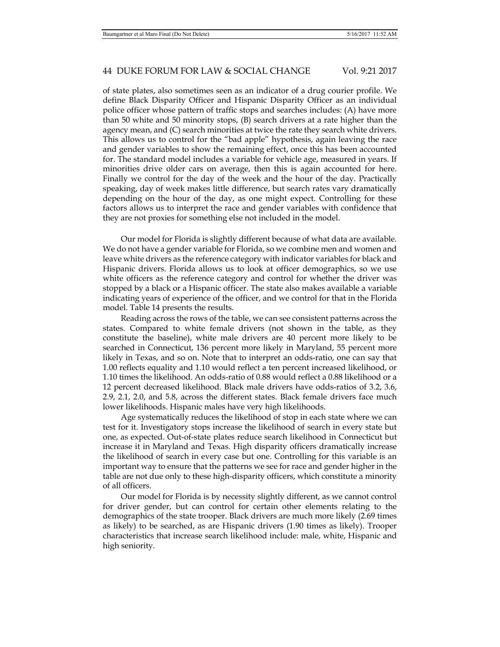of state plates, also sometimes seen as an indicator of a drug courier profile. We define Black Disparity Officer and Hispanic Disparity Officer as an individual police officer whose pattern of traffic stops and searches includes: (A) have more than 50 white and 50 minority stops, (B) search drivers at a rate higher than the agency mean, and (C) search minorities at twice the rate they search white drivers. This allows us to control for the "bad apple" hypothesis, again leaving the race and gender variables to show the remaining effect, once this has been accounted for. The standard model includes a variable for vehicle age, measured in years. If minorities drive older cars on average, then this is again accounted for here. Finally we control for the day of the week and the hour of the day. Practically speaking, day of week makes little difference, but search rates vary dramatically depending on the hour of the day, as one might expect. Controlling for these factors allows us to interpret the race and gender variables with confidence that they are not proxies for something else not included in the model.

Our model for Florida is slightly different because of what data are available. We do not have a gender variable for Florida, so we combine men and women and leave white drivers as the reference category with indicator variables for black and Hispanic drivers. Florida allows us to look at officer demographics, so we use white officers as the reference category and control for whether the driver was stopped by a black or a Hispanic officer. The state also makes available a variable indicating years of experience of the officer, and we control for that in the Florida model. Table 14 presents the results.

Reading across the rows of the table, we can see consistent patterns across the states. Compared to white female drivers (not shown in the table, as they constitute the baseline), white male drivers are 40 percent more likely to be searched in Connecticut, 136 percent more likely in Maryland, 55 percent more likely in Texas, and so on. Note that to interpret an odds-ratio, one can say that 1.00 reflects equality and 1.10 would reflect a ten percent increased likelihood, or 1.10 times the likelihood. An odds-ratio of 0.88 would reflect a 0.88 likelihood or a 12 percent decreased likelihood. Black male drivers have odds-ratios of 3.2, 3.6, 2.9, 2.1, 2.0, and 5.8, across the different states. Black female drivers face much lower likelihoods. Hispanic males have very high likelihoods.

Age systematically reduces the likelihood of stop in each state where we can test for it. Investigatory stops increase the likelihood of search in every state but one, as expected. Out-of-state plates reduce search likelihood in Connecticut but increase it in Maryland and Texas. High disparity officers dramatically increase the likelihood of search in every case but one. Controlling for this variable is an important way to ensure that the patterns we see for race and gender higher in the table are not due only to these high-disparity officers, which constitute a minority of all officers.

Our model for Florida is by necessity slightly different, as we cannot control for driver gender, but can control for certain other elements relating to the demographics of the state trooper. Black drivers are much more likely (2.69 times as likely) to be searched, as are Hispanic drivers (1.90 times as likely). Trooper characteristics that increase search likelihood include: male, white, Hispanic and high seniority.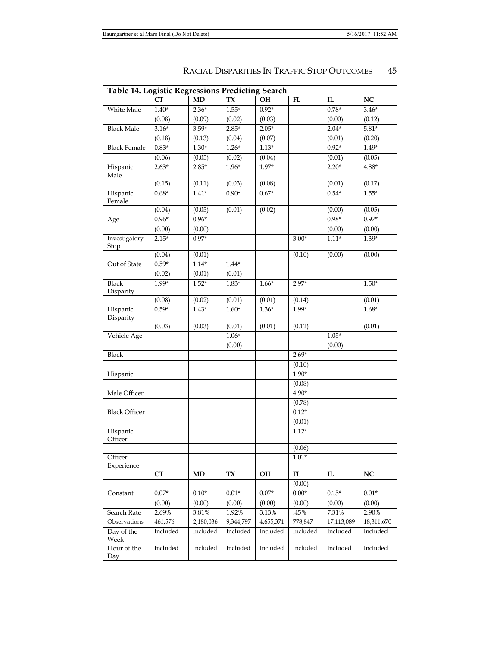| <b>Table 14. Logistic Regressions Predicting Search</b> |           |                |           |           |              |            |             |
|---------------------------------------------------------|-----------|----------------|-----------|-----------|--------------|------------|-------------|
|                                                         | <b>CT</b> | <b>MD</b>      | <b>TX</b> | OH        | FL           | IL         | $_{\rm NC}$ |
| White Male                                              | $1.40*$   | $2.36*$        | $1.55*$   | $0.92*$   |              | $0.78*$    | $3.46*$     |
|                                                         | (0.08)    | (0.09)         | (0.02)    | (0.03)    |              | (0.00)     | (0.12)      |
| <b>Black Male</b>                                       | $3.16*$   | $3.59*$        | $2.85*$   | $2.05*$   |              | $2.04*$    | $5.81*$     |
|                                                         | (0.18)    | (0.13)         | (0.04)    | (0.07)    |              | (0.01)     | (0.20)      |
| <b>Black Female</b>                                     | $0.83*$   | $1.30*$        | $1.26*$   | $1.13*$   |              | $0.92*$    | $1.49*$     |
|                                                         | (0.06)    | (0.05)         | (0.02)    | (0.04)    |              | (0.01)     | (0.05)      |
| Hispanic<br>Male                                        | $2.63*$   | $2.85*$        | $1.96*$   | $1.97*$   |              | $2.20*$    | $4.88*$     |
|                                                         | (0.15)    | (0.11)         | (0.03)    | (0.08)    |              | (0.01)     | (0.17)      |
| Hispanic<br>Female                                      | $0.68*$   | $1.41*$        | $0.90*$   | $0.67*$   |              | $0.54*$    | $1.55*$     |
|                                                         | (0.04)    | (0.05)         | (0.01)    | (0.02)    |              | (0.00)     | (0.05)      |
| Age                                                     | $0.96*$   | $0.96*$        |           |           |              | $0.98*$    | $0.97*$     |
|                                                         | (0.00)    | (0.00)         |           |           |              | (0.00)     | (0.00)      |
| Investigatory<br>Stop                                   | $2.15*$   | $0.97*$        |           |           | $3.00*$      | $1.11*$    | $1.39*$     |
|                                                         | (0.04)    | (0.01)         |           |           | (0.10)       | (0.00)     | (0.00)      |
| Out of State                                            | $0.59*$   | $1.14*$        | $1.44*$   |           |              |            |             |
|                                                         | (0.02)    | (0.01)         | (0.01)    |           |              |            |             |
| <b>Black</b><br>Disparity                               | 1.99*     | $1.52*$        | $1.83*$   | $1.66*$   | $2.97*$      |            | $1.50*$     |
|                                                         | (0.08)    | (0.02)         | (0.01)    | (0.01)    | (0.14)       |            | (0.01)      |
| Hispanic<br>Disparity                                   | $0.59*$   | $1.43*$        | $1.60*$   | $1.36*$   | $1.99*$      |            | $1.68*$     |
|                                                         | (0.03)    | (0.03)         | (0.01)    | (0.01)    | (0.11)       |            | (0.01)      |
| Vehicle Age                                             |           |                | $1.06*$   |           |              | $1.05*$    |             |
|                                                         |           |                | (0.00)    |           |              | (0.00)     |             |
| <b>Black</b>                                            |           |                |           |           | $2.69*$      |            |             |
|                                                         |           |                |           |           | (0.10)       |            |             |
| Hispanic                                                |           |                |           |           | $1.90*$      |            |             |
|                                                         |           |                |           |           | (0.08)       |            |             |
| Male Officer                                            |           |                |           |           | $4.90*$      |            |             |
|                                                         |           |                |           |           | (0.78)       |            |             |
| <b>Black Officer</b>                                    |           |                |           |           | $0.12*$      |            |             |
|                                                         |           |                |           |           | (0.01)       |            |             |
| Hispanic<br>Officer                                     |           |                |           |           | $1.12*$      |            |             |
|                                                         |           |                |           |           | (0.06)       |            |             |
| Officer<br>Experience                                   |           |                |           |           | $1.01*$      |            |             |
|                                                         | CT        | MD             | TX        | OH        | FL<br>(0.00) | IL         | NC          |
| Constant                                                | $0.07*$   | $0.10^{\star}$ | $0.01*$   | $0.07*$   | $0.00*$      | $0.15*$    | $0.01*$     |
|                                                         | (0.00)    | (0.00)         | (0.00)    | (0.00)    | (0.00)       | (0.00)     | (0.00)      |
| Search Rate                                             | 2.69%     | 3.81%          | 1.92%     | 3.13%     | .45%         | 7.31%      | 2.90%       |
| Observations                                            | 461,576   | 2,180,036      | 9,344,797 | 4,655,371 | 778,847      | 17,113,089 | 18,311,670  |
| Day of the<br>Week                                      | Included  | Included       | Included  | Included  | Included     | Included   | Included    |
| Hour of the<br>Day                                      | Included  | Included       | Included  | Included  | Included     | Included   | Included    |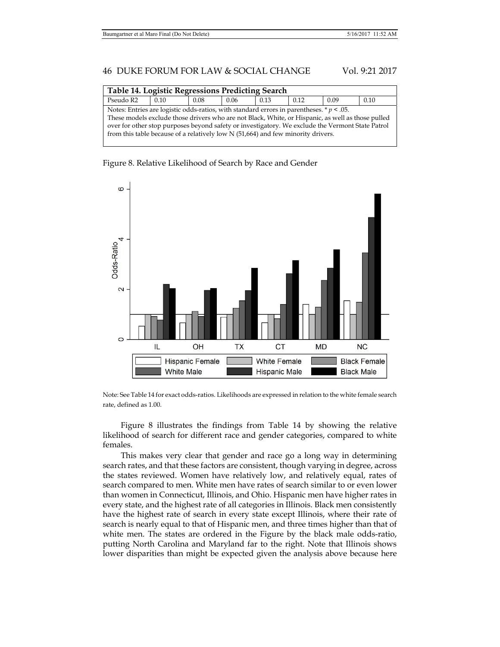| Table 14. Logistic Regressions Predicting Search                                                                                                                                                                                                                                                                                                                                           |      |      |      |      |      |      |      |
|--------------------------------------------------------------------------------------------------------------------------------------------------------------------------------------------------------------------------------------------------------------------------------------------------------------------------------------------------------------------------------------------|------|------|------|------|------|------|------|
| Pseudo R2                                                                                                                                                                                                                                                                                                                                                                                  | 0.10 | 0.08 | 0.06 | 0.13 | 0.12 | 0.09 | 0.10 |
| Notes: Entries are logistic odds-ratios, with standard errors in parentheses. $* p < .05$ .<br>These models exclude those drivers who are not Black, White, or Hispanic, as well as those pulled<br>over for other stop purposes beyond safety or investigatory. We exclude the Vermont State Patrol<br>from this table because of a relatively low $N$ (51,664) and few minority drivers. |      |      |      |      |      |      |      |





Note: See Table 14 for exact odds-ratios. Likelihoods are expressed in relation to the white female search rate, defined as 1.00.

Figure 8 illustrates the findings from Table 14 by showing the relative likelihood of search for different race and gender categories, compared to white females.

This makes very clear that gender and race go a long way in determining search rates, and that these factors are consistent, though varying in degree, across the states reviewed. Women have relatively low, and relatively equal, rates of search compared to men. White men have rates of search similar to or even lower than women in Connecticut, Illinois, and Ohio. Hispanic men have higher rates in every state, and the highest rate of all categories in Illinois. Black men consistently have the highest rate of search in every state except Illinois, where their rate of search is nearly equal to that of Hispanic men, and three times higher than that of white men. The states are ordered in the Figure by the black male odds-ratio, putting North Carolina and Maryland far to the right. Note that Illinois shows lower disparities than might be expected given the analysis above because here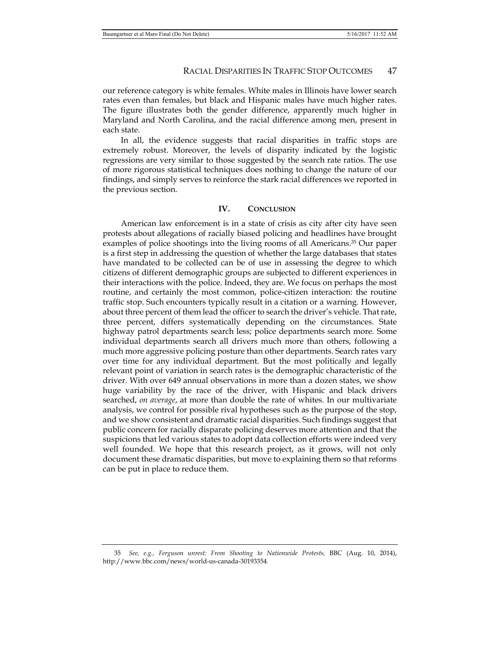our reference category is white females. White males in Illinois have lower search rates even than females, but black and Hispanic males have much higher rates. The figure illustrates both the gender difference, apparently much higher in Maryland and North Carolina, and the racial difference among men, present in each state.

In all, the evidence suggests that racial disparities in traffic stops are extremely robust. Moreover, the levels of disparity indicated by the logistic regressions are very similar to those suggested by the search rate ratios. The use of more rigorous statistical techniques does nothing to change the nature of our findings, and simply serves to reinforce the stark racial differences we reported in the previous section.

### **IV. CONCLUSION**

American law enforcement is in a state of crisis as city after city have seen protests about allegations of racially biased policing and headlines have brought examples of police shootings into the living rooms of all Americans.35 Our paper is a first step in addressing the question of whether the large databases that states have mandated to be collected can be of use in assessing the degree to which citizens of different demographic groups are subjected to different experiences in their interactions with the police. Indeed, they are. We focus on perhaps the most routine, and certainly the most common, police-citizen interaction: the routine traffic stop. Such encounters typically result in a citation or a warning. However, about three percent of them lead the officer to search the driver's vehicle. That rate, three percent, differs systematically depending on the circumstances. State highway patrol departments search less; police departments search more. Some individual departments search all drivers much more than others, following a much more aggressive policing posture than other departments. Search rates vary over time for any individual department. But the most politically and legally relevant point of variation in search rates is the demographic characteristic of the driver. With over 649 annual observations in more than a dozen states, we show huge variability by the race of the driver, with Hispanic and black drivers searched, *on average*, at more than double the rate of whites. In our multivariate analysis, we control for possible rival hypotheses such as the purpose of the stop, and we show consistent and dramatic racial disparities. Such findings suggest that public concern for racially disparate policing deserves more attention and that the suspicions that led various states to adopt data collection efforts were indeed very well founded. We hope that this research project, as it grows, will not only document these dramatic disparities, but move to explaining them so that reforms can be put in place to reduce them.

 <sup>35</sup> *See, e.g., Ferguson unrest: From Shooting to Nationwide Protests,* BBC (Aug. 10, 2014), http://www.bbc.com/news/world-us-canada-30193354*.*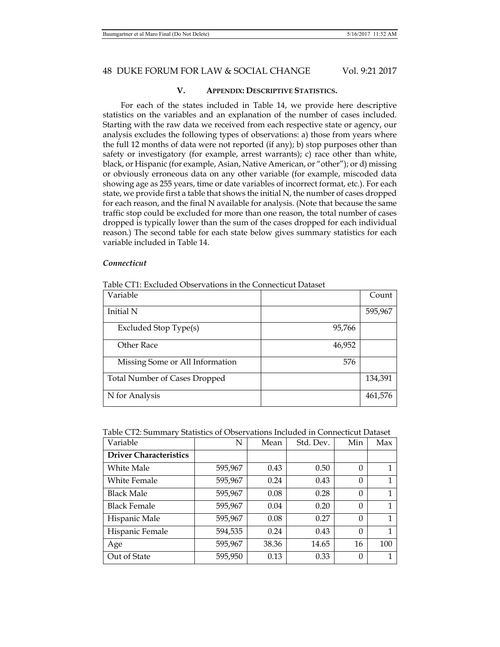## **V. APPENDIX: DESCRIPTIVE STATISTICS.**

For each of the states included in Table 14, we provide here descriptive statistics on the variables and an explanation of the number of cases included. Starting with the raw data we received from each respective state or agency, our analysis excludes the following types of observations: a) those from years where the full 12 months of data were not reported (if any); b) stop purposes other than safety or investigatory (for example, arrest warrants); c) race other than white, black, or Hispanic (for example, Asian, Native American, or "other"); or d) missing or obviously erroneous data on any other variable (for example, miscoded data showing age as 255 years, time or date variables of incorrect format, etc.). For each state, we provide first a table that shows the initial N, the number of cases dropped for each reason, and the final N available for analysis. (Note that because the same traffic stop could be excluded for more than one reason, the total number of cases dropped is typically lower than the sum of the cases dropped for each individual reason.) The second table for each state below gives summary statistics for each variable included in Table 14.

## *Connecticut*

|  | Table CT1: Excluded Observations in the Connecticut Dataset |  |
|--|-------------------------------------------------------------|--|
|--|-------------------------------------------------------------|--|

| Variable                             |        | Count   |
|--------------------------------------|--------|---------|
| Initial N                            |        | 595,967 |
| Excluded Stop Type(s)                | 95,766 |         |
| Other Race                           | 46,952 |         |
| Missing Some or All Information      | 576    |         |
| <b>Total Number of Cases Dropped</b> |        | 134,391 |
| N for Analysis                       |        | 461,576 |

|  | Table CT2: Summary Statistics of Observations Included in Connecticut Dataset |
|--|-------------------------------------------------------------------------------|
|--|-------------------------------------------------------------------------------|

| Variable                      | N       | Mean  | Std. Dev. | Min      | Max |
|-------------------------------|---------|-------|-----------|----------|-----|
| <b>Driver Characteristics</b> |         |       |           |          |     |
| White Male                    | 595,967 | 0.43  | 0.50      | 0        |     |
| White Female                  | 595,967 | 0.24  | 0.43      | $\theta$ | 1   |
| <b>Black Male</b>             | 595,967 | 0.08  | 0.28      | $\theta$ | 1   |
| <b>Black Female</b>           | 595,967 | 0.04  | 0.20      | $\theta$ | 1   |
| Hispanic Male                 | 595,967 | 0.08  | 0.27      | $\Omega$ |     |
| Hispanic Female               | 594,535 | 0.24  | 0.43      | $\theta$ | 1   |
| Age                           | 595,967 | 38.36 | 14.65     | 16       | 100 |
| Out of State                  | 595,950 | 0.13  | 0.33      | $\Omega$ |     |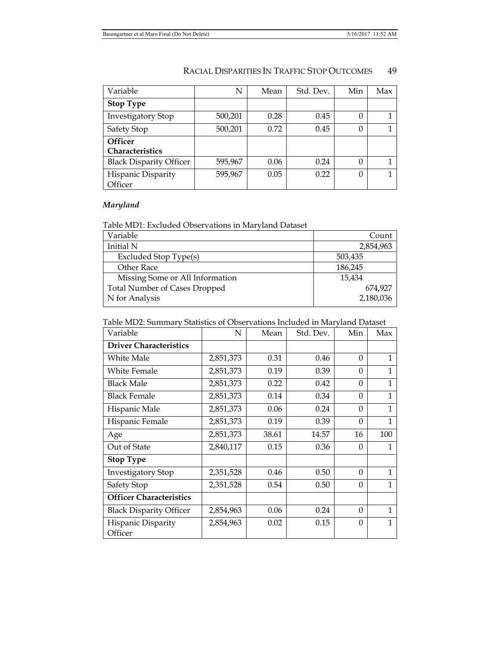| Variable                       | N       | Mean | Std. Dev. | Min      | Max |
|--------------------------------|---------|------|-----------|----------|-----|
| <b>Stop Type</b>               |         |      |           |          |     |
| <b>Investigatory Stop</b>      | 500,201 | 0.28 | 0.45      | 0        |     |
| Safety Stop                    | 500,201 | 0.72 | 0.45      | 0        |     |
| <b>Officer</b>                 |         |      |           |          |     |
| Characteristics                |         |      |           |          |     |
| <b>Black Disparity Officer</b> | 595,967 | 0.06 | 0.24      | 0        |     |
| Hispanic Disparity             | 595,967 | 0.05 | 0.22      | $\theta$ |     |
| Officer                        |         |      |           |          |     |

# *Maryland*

## Table MD1: Excluded Observations in Maryland Dataset

| Count     |
|-----------|
| 2,854,963 |
| 503,435   |
| 186,245   |
| 15.434    |
| 674.927   |
| 2,180,036 |
|           |

## Table MD2: Summary Statistics of Observations Included in Maryland Dataset

| Variable                       | N         | Mean  | Std. Dev. | Min      | Max            |
|--------------------------------|-----------|-------|-----------|----------|----------------|
| <b>Driver Characteristics</b>  |           |       |           |          |                |
| White Male                     | 2,851,373 | 0.31  | 0.46      | $\Omega$ | 1              |
| <b>White Female</b>            | 2,851,373 | 0.19  | 0.39      | $\Omega$ | 1              |
| <b>Black Male</b>              | 2,851,373 | 0.22  | 0.42      | $\Omega$ | $\mathbf{1}$   |
| Black Female                   | 2,851,373 | 0.14  | 0.34      | $\Omega$ | 1              |
| Hispanic Male                  | 2,851,373 | 0.06  | 0.24      | $\Omega$ | $\mathbf{1}$   |
| Hispanic Female                | 2,851,373 | 0.19  | 0.39      | $\Omega$ | $\mathbf{1}$   |
| Age                            | 2,851,373 | 38.61 | 14.57     | 16       | 100            |
| Out of State                   | 2,840,117 | 0.15  | 0.36      | $\Omega$ | 1              |
| <b>Stop Type</b>               |           |       |           |          |                |
| Investigatory Stop             | 2,351,528 | 0.46  | 0.50      | $\Omega$ | $\overline{1}$ |
| Safety Stop                    | 2,351,528 | 0.54  | 0.50      | $\Omega$ | 1              |
| <b>Officer Characteristics</b> |           |       |           |          |                |
| <b>Black Disparity Officer</b> | 2,854,963 | 0.06  | 0.24      | $\Omega$ | 1              |
| Hispanic Disparity<br>Officer  | 2,854,963 | 0.02  | 0.15      | $\Omega$ | 1              |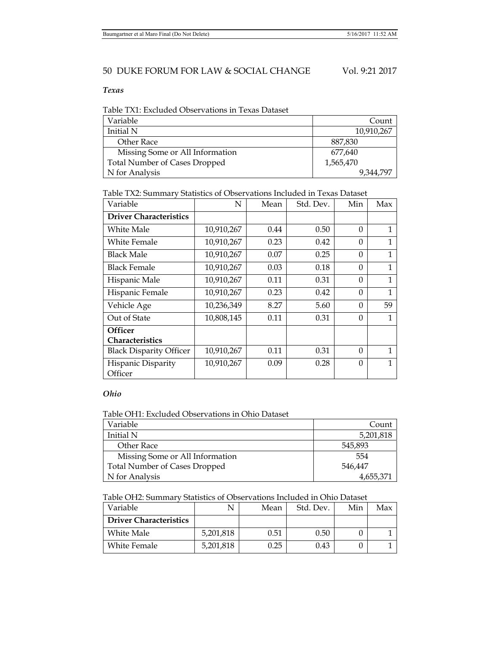## *Texas*

Table TX1: Excluded Observations in Texas Dataset

| Variable                             | Count      |
|--------------------------------------|------------|
| Initial N                            | 10,910,267 |
| Other Race                           | 887,830    |
| Missing Some or All Information      | 677,640    |
| <b>Total Number of Cases Dropped</b> | 1,565,470  |
| N for Analysis                       | 9,344,797  |

Table TX2: Summary Statistics of Observations Included in Texas Dataset

| Variable                          | N          | Mean | Std. Dev. | Min      | Max          |
|-----------------------------------|------------|------|-----------|----------|--------------|
| <b>Driver Characteristics</b>     |            |      |           |          |              |
| White Male                        | 10,910,267 | 0.44 | 0.50      | 0        | 1            |
| White Female                      | 10,910,267 | 0.23 | 0.42      | $\theta$ | 1            |
| Black Male                        | 10,910,267 | 0.07 | 0.25      | $\Omega$ | 1            |
| Black Female                      | 10,910,267 | 0.03 | 0.18      | $\theta$ | 1            |
| Hispanic Male                     | 10,910,267 | 0.11 | 0.31      | $\Omega$ | 1            |
| Hispanic Female                   | 10,910,267 | 0.23 | 0.42      | $\theta$ | 1            |
| Vehicle Age                       | 10,236,349 | 8.27 | 5.60      | $\Omega$ | 59           |
| Out of State                      | 10,808,145 | 0.11 | 0.31      | $\theta$ |              |
| <b>Officer</b><br>Characteristics |            |      |           |          |              |
| <b>Black Disparity Officer</b>    | 10,910,267 | 0.11 | 0.31      | $\theta$ | $\mathbf{1}$ |
| Hispanic Disparity<br>Officer     | 10,910,267 | 0.09 | 0.28      | $\Omega$ | 1            |

# *Ohio*

## Table OH1: Excluded Observations in Ohio Dataset

| Variable                             | Count     |
|--------------------------------------|-----------|
| Initial N                            | 5,201,818 |
| Other Race                           | 545.893   |
| Missing Some or All Information      | 554       |
| <b>Total Number of Cases Dropped</b> | 546.447   |
| N for Analysis                       | 4,655,371 |

# Table OH2: Summary Statistics of Observations Included in Ohio Dataset

| Variable                      |           | Mean | Std. Dev. | Min | Max |
|-------------------------------|-----------|------|-----------|-----|-----|
| <b>Driver Characteristics</b> |           |      |           |     |     |
| White Male                    | 5,201,818 | 0.51 | 0.50      |     |     |
| White Female                  | 5,201,818 | 0.25 | 0.43      |     |     |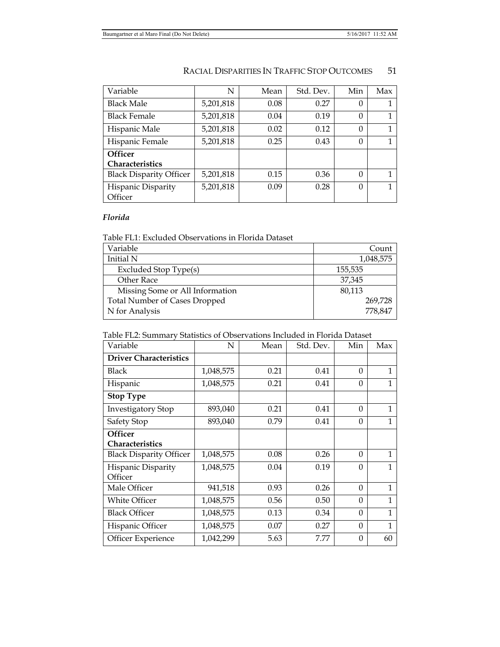| Variable                          | N         | Mean | Std. Dev. | Min      | Max |
|-----------------------------------|-----------|------|-----------|----------|-----|
| <b>Black Male</b>                 | 5,201,818 | 0.08 | 0.27      | 0        |     |
| <b>Black Female</b>               | 5,201,818 | 0.04 | 0.19      | $\theta$ |     |
| Hispanic Male                     | 5,201,818 | 0.02 | 0.12      | $\Omega$ |     |
| Hispanic Female                   | 5,201,818 | 0.25 | 0.43      | 0        |     |
| <b>Officer</b><br>Characteristics |           |      |           |          |     |
| <b>Black Disparity Officer</b>    | 5,201,818 | 0.15 | 0.36      | $\Omega$ | 1   |
| Hispanic Disparity<br>Officer     | 5,201,818 | 0.09 | 0.28      | $\theta$ | 1   |

# *Florida*

Table FL1: Excluded Observations in Florida Dataset

| Variable                             | Count     |
|--------------------------------------|-----------|
| Initial N                            | 1,048,575 |
| Excluded Stop Type(s)                | 155,535   |
| Other Race                           | 37,345    |
| Missing Some or All Information      | 80,113    |
| <b>Total Number of Cases Dropped</b> | 269,728   |
| N for Analysis                       | 778,847   |

| Table FL2: Summary Statistics of Observations Included in Florida Dataset |  |  |  |  |
|---------------------------------------------------------------------------|--|--|--|--|
|---------------------------------------------------------------------------|--|--|--|--|

| Variable                          | N         | Mean | Std. Dev. | Min      | Max          |
|-----------------------------------|-----------|------|-----------|----------|--------------|
| <b>Driver Characteristics</b>     |           |      |           |          |              |
| <b>Black</b>                      | 1,048,575 | 0.21 | 0.41      | $\Omega$ | 1            |
| Hispanic                          | 1,048,575 | 0.21 | 0.41      | $\Omega$ | 1            |
| <b>Stop Type</b>                  |           |      |           |          |              |
| <b>Investigatory Stop</b>         | 893,040   | 0.21 | 0.41      | $\Omega$ | 1            |
| Safety Stop                       | 893,040   | 0.79 | 0.41      | $\Omega$ | 1            |
| <b>Officer</b><br>Characteristics |           |      |           |          |              |
| <b>Black Disparity Officer</b>    | 1,048,575 | 0.08 | 0.26      | $\theta$ | 1            |
| Hispanic Disparity<br>Officer     | 1,048,575 | 0.04 | 0.19      | $\Omega$ | 1            |
| Male Officer                      | 941,518   | 0.93 | 0.26      | $\Omega$ | $\mathbf{1}$ |
| White Officer                     | 1,048,575 | 0.56 | 0.50      | $\Omega$ | 1            |
| <b>Black Officer</b>              | 1,048,575 | 0.13 | 0.34      | $\Omega$ | $\mathbf{1}$ |
| Hispanic Officer                  | 1,048,575 | 0.07 | 0.27      | $\Omega$ | 1            |
| <b>Officer Experience</b>         | 1,042,299 | 5.63 | 7.77      | $\Omega$ | 60           |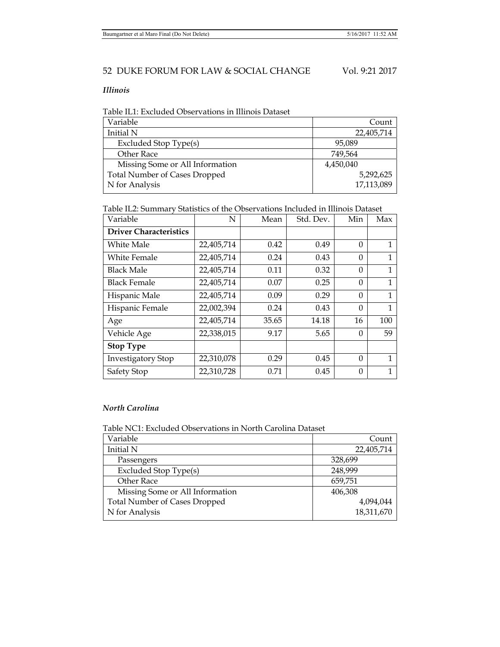## *Illinois*

Table IL1: Excluded Observations in Illinois Dataset

| Variable                             | Count      |
|--------------------------------------|------------|
| Initial N                            | 22,405,714 |
| Excluded Stop Type(s)                | 95,089     |
| Other Race                           | 749,564    |
| Missing Some or All Information      | 4,450,040  |
| <b>Total Number of Cases Dropped</b> | 5,292,625  |
| N for Analysis                       | 17,113,089 |
|                                      |            |

Table IL2: Summary Statistics of the Observations Included in Illinois Dataset

| Variable                      | N          | Mean  | Std. Dev. | Min      | Max |
|-------------------------------|------------|-------|-----------|----------|-----|
| <b>Driver Characteristics</b> |            |       |           |          |     |
| White Male                    | 22,405,714 | 0.42  | 0.49      | $\theta$ | 1   |
| <b>White Female</b>           | 22,405,714 | 0.24  | 0.43      | $\Omega$ | 1   |
| <b>Black Male</b>             | 22,405,714 | 0.11  | 0.32      | $\theta$ | 1   |
| <b>Black Female</b>           | 22,405,714 | 0.07  | 0.25      | $\theta$ | 1   |
| Hispanic Male                 | 22,405,714 | 0.09  | 0.29      | $\Omega$ | 1   |
| Hispanic Female               | 22,002,394 | 0.24  | 0.43      | $\theta$ | 1   |
| Age                           | 22,405,714 | 35.65 | 14.18     | 16       | 100 |
| Vehicle Age                   | 22,338,015 | 9.17  | 5.65      | $\Omega$ | 59  |
| <b>Stop Type</b>              |            |       |           |          |     |
| <b>Investigatory Stop</b>     | 22,310,078 | 0.29  | 0.45      | $\Omega$ |     |
| Safety Stop                   | 22,310,728 | 0.71  | 0.45      | $\Omega$ |     |

## *North Carolina*

Table NC1: Excluded Observations in North Carolina Dataset

| Count      |
|------------|
| 22,405,714 |
| 328,699    |
| 248,999    |
| 659,751    |
| 406,308    |
| 4,094,044  |
| 18,311,670 |
|            |